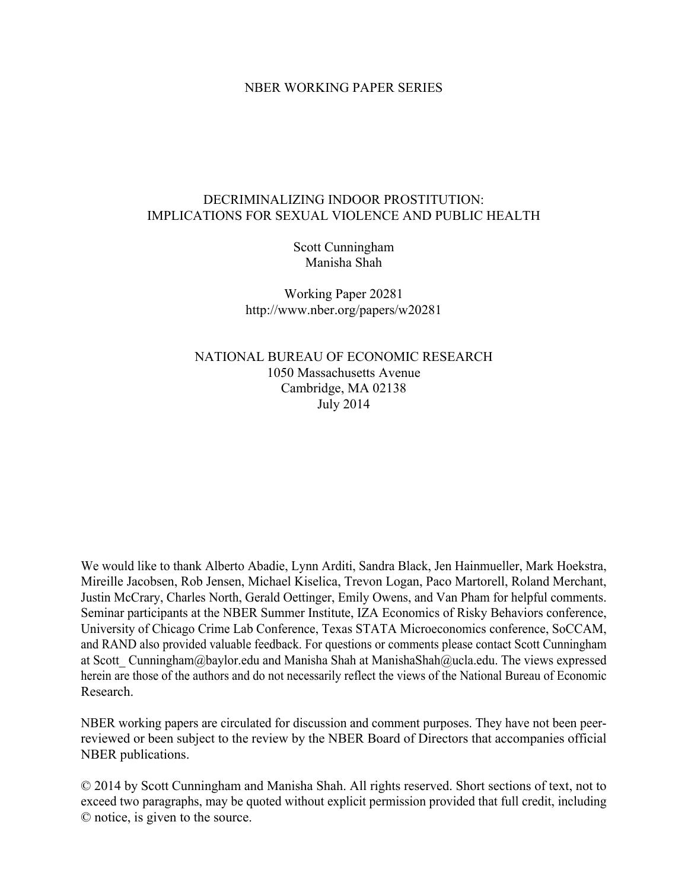# NBER WORKING PAPER SERIES

# DECRIMINALIZING INDOOR PROSTITUTION: IMPLICATIONS FOR SEXUAL VIOLENCE AND PUBLIC HEALTH

Scott Cunningham Manisha Shah

Working Paper 20281 http://www.nber.org/papers/w20281

NATIONAL BUREAU OF ECONOMIC RESEARCH 1050 Massachusetts Avenue Cambridge, MA 02138 July 2014

We would like to thank Alberto Abadie, Lynn Arditi, Sandra Black, Jen Hainmueller, Mark Hoekstra, Mireille Jacobsen, Rob Jensen, Michael Kiselica, Trevon Logan, Paco Martorell, Roland Merchant, Justin McCrary, Charles North, Gerald Oettinger, Emily Owens, and Van Pham for helpful comments. Seminar participants at the NBER Summer Institute, IZA Economics of Risky Behaviors conference, University of Chicago Crime Lab Conference, Texas STATA Microeconomics conference, SoCCAM, and RAND also provided valuable feedback. For questions or comments please contact Scott Cunningham at Scott Cunningham@baylor.edu and Manisha Shah at ManishaShah@ucla.edu. The views expressed herein are those of the authors and do not necessarily reflect the views of the National Bureau of Economic Research.

NBER working papers are circulated for discussion and comment purposes. They have not been peerreviewed or been subject to the review by the NBER Board of Directors that accompanies official NBER publications.

© 2014 by Scott Cunningham and Manisha Shah. All rights reserved. Short sections of text, not to exceed two paragraphs, may be quoted without explicit permission provided that full credit, including © notice, is given to the source.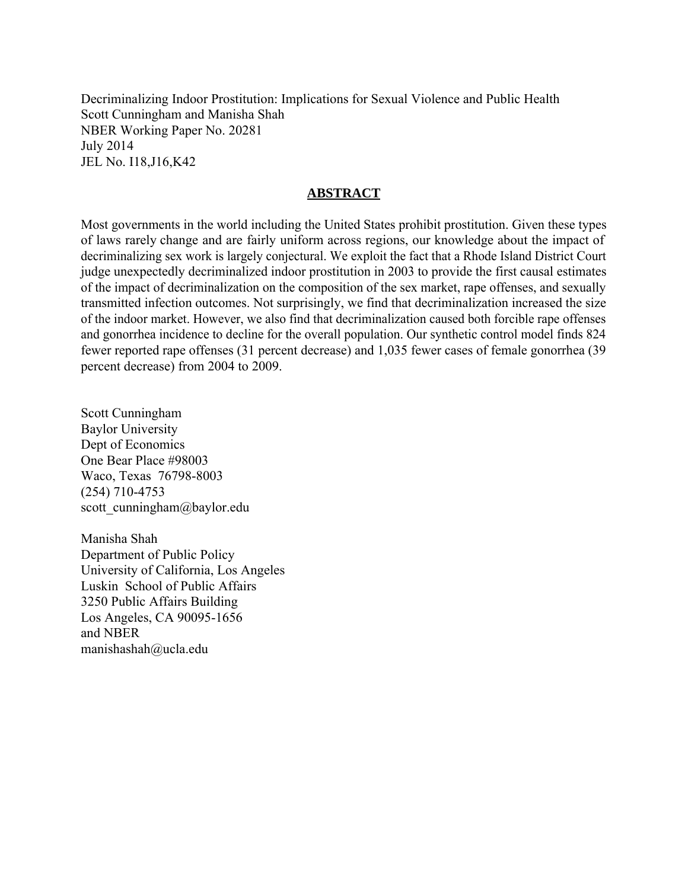Decriminalizing Indoor Prostitution: Implications for Sexual Violence and Public Health Scott Cunningham and Manisha Shah NBER Working Paper No. 20281 July 2014 JEL No. I18,J16,K42

# **ABSTRACT**

Most governments in the world including the United States prohibit prostitution. Given these types of laws rarely change and are fairly uniform across regions, our knowledge about the impact of decriminalizing sex work is largely conjectural. We exploit the fact that a Rhode Island District Court judge unexpectedly decriminalized indoor prostitution in 2003 to provide the first causal estimates of the impact of decriminalization on the composition of the sex market, rape offenses, and sexually transmitted infection outcomes. Not surprisingly, we find that decriminalization increased the size of the indoor market. However, we also find that decriminalization caused both forcible rape offenses and gonorrhea incidence to decline for the overall population. Our synthetic control model finds 824 fewer reported rape offenses (31 percent decrease) and 1,035 fewer cases of female gonorrhea (39 percent decrease) from 2004 to 2009.

Scott Cunningham Baylor University Dept of Economics One Bear Place #98003 Waco, Texas 76798-8003 (254) 710-4753 scott cunningham@baylor.edu

Manisha Shah Department of Public Policy University of California, Los Angeles Luskin School of Public Affairs 3250 Public Affairs Building Los Angeles, CA 90095-1656 and NBER manishashah@ucla.edu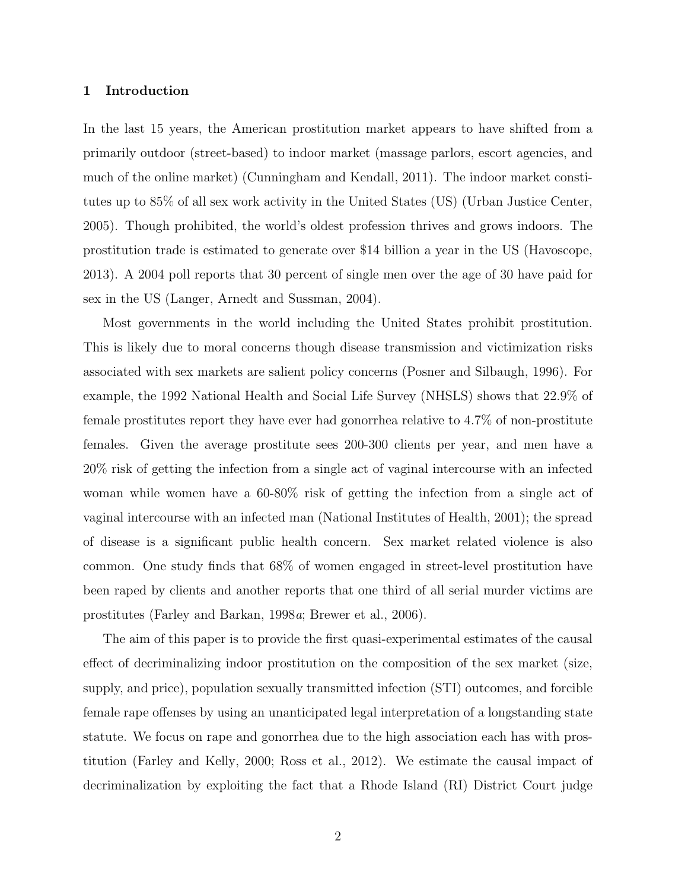## 1 Introduction

In the last 15 years, the American prostitution market appears to have shifted from a primarily outdoor (street-based) to indoor market (massage parlors, escort agencies, and much of the online market) (Cunningham and Kendall, 2011). The indoor market constitutes up to 85% of all sex work activity in the United States (US) (Urban Justice Center, 2005). Though prohibited, the world's oldest profession thrives and grows indoors. The prostitution trade is estimated to generate over \$14 billion a year in the US (Havoscope, 2013). A 2004 poll reports that 30 percent of single men over the age of 30 have paid for sex in the US (Langer, Arnedt and Sussman, 2004).

Most governments in the world including the United States prohibit prostitution. This is likely due to moral concerns though disease transmission and victimization risks associated with sex markets are salient policy concerns (Posner and Silbaugh, 1996). For example, the 1992 National Health and Social Life Survey (NHSLS) shows that 22.9% of female prostitutes report they have ever had gonorrhea relative to 4.7% of non-prostitute females. Given the average prostitute sees 200-300 clients per year, and men have a 20% risk of getting the infection from a single act of vaginal intercourse with an infected woman while women have a 60-80% risk of getting the infection from a single act of vaginal intercourse with an infected man (National Institutes of Health, 2001); the spread of disease is a significant public health concern. Sex market related violence is also common. One study finds that 68% of women engaged in street-level prostitution have been raped by clients and another reports that one third of all serial murder victims are prostitutes (Farley and Barkan, 1998a; Brewer et al., 2006).

The aim of this paper is to provide the first quasi-experimental estimates of the causal effect of decriminalizing indoor prostitution on the composition of the sex market (size, supply, and price), population sexually transmitted infection (STI) outcomes, and forcible female rape offenses by using an unanticipated legal interpretation of a longstanding state statute. We focus on rape and gonorrhea due to the high association each has with prostitution (Farley and Kelly, 2000; Ross et al., 2012). We estimate the causal impact of decriminalization by exploiting the fact that a Rhode Island (RI) District Court judge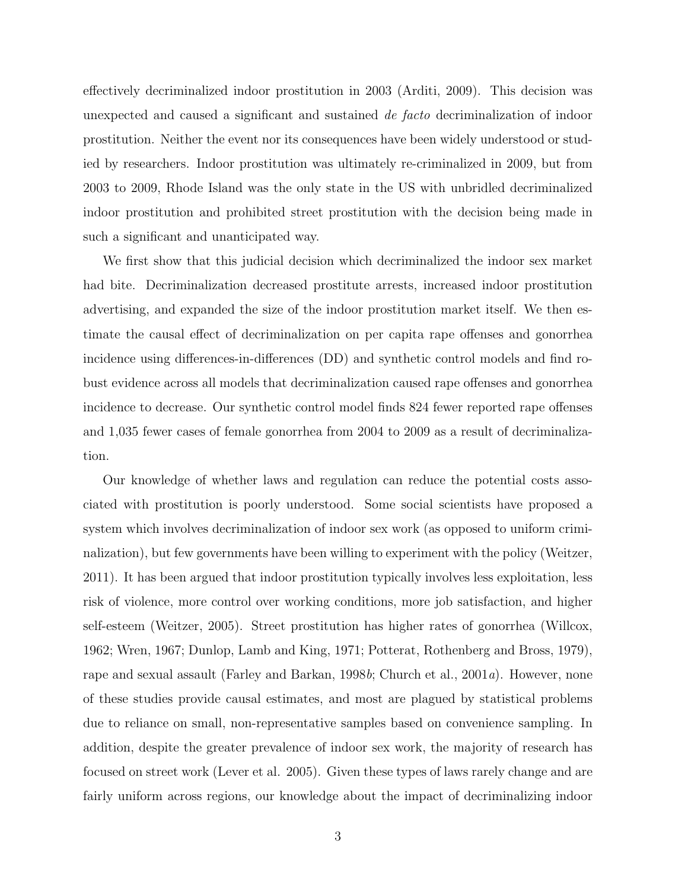effectively decriminalized indoor prostitution in 2003 (Arditi, 2009). This decision was unexpected and caused a significant and sustained de facto decriminalization of indoor prostitution. Neither the event nor its consequences have been widely understood or studied by researchers. Indoor prostitution was ultimately re-criminalized in 2009, but from 2003 to 2009, Rhode Island was the only state in the US with unbridled decriminalized indoor prostitution and prohibited street prostitution with the decision being made in such a significant and unanticipated way.

We first show that this judicial decision which decriminalized the indoor sex market had bite. Decriminalization decreased prostitute arrests, increased indoor prostitution advertising, and expanded the size of the indoor prostitution market itself. We then estimate the causal effect of decriminalization on per capita rape offenses and gonorrhea incidence using differences-in-differences (DD) and synthetic control models and find robust evidence across all models that decriminalization caused rape offenses and gonorrhea incidence to decrease. Our synthetic control model finds 824 fewer reported rape offenses and 1,035 fewer cases of female gonorrhea from 2004 to 2009 as a result of decriminalization.

Our knowledge of whether laws and regulation can reduce the potential costs associated with prostitution is poorly understood. Some social scientists have proposed a system which involves decriminalization of indoor sex work (as opposed to uniform criminalization), but few governments have been willing to experiment with the policy (Weitzer, 2011). It has been argued that indoor prostitution typically involves less exploitation, less risk of violence, more control over working conditions, more job satisfaction, and higher self-esteem (Weitzer, 2005). Street prostitution has higher rates of gonorrhea (Willcox, 1962; Wren, 1967; Dunlop, Lamb and King, 1971; Potterat, Rothenberg and Bross, 1979), rape and sexual assault (Farley and Barkan, 1998b; Church et al., 2001a). However, none of these studies provide causal estimates, and most are plagued by statistical problems due to reliance on small, non-representative samples based on convenience sampling. In addition, despite the greater prevalence of indoor sex work, the majority of research has focused on street work (Lever et al. 2005). Given these types of laws rarely change and are fairly uniform across regions, our knowledge about the impact of decriminalizing indoor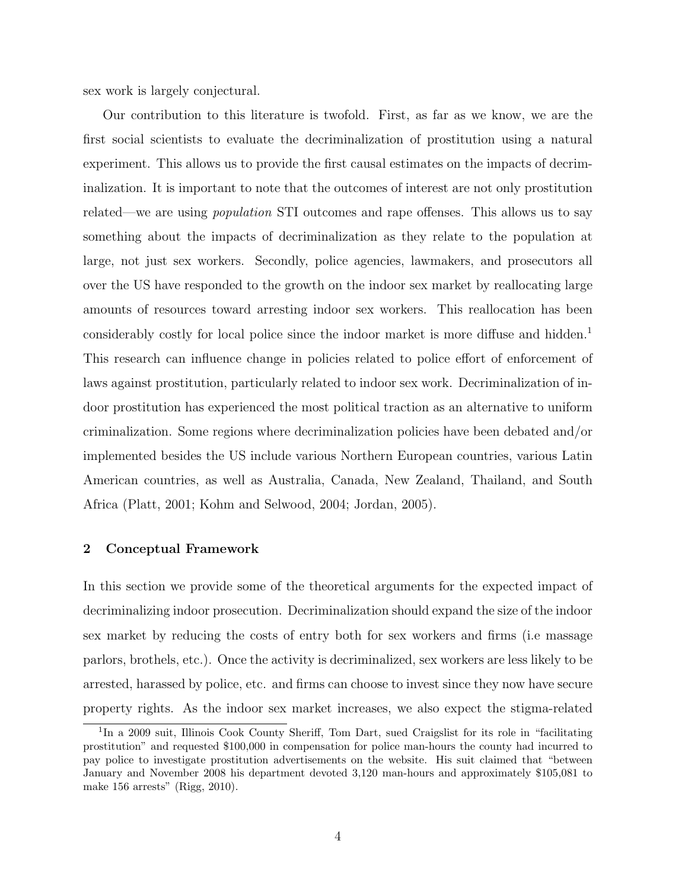sex work is largely conjectural.

Our contribution to this literature is twofold. First, as far as we know, we are the first social scientists to evaluate the decriminalization of prostitution using a natural experiment. This allows us to provide the first causal estimates on the impacts of decriminalization. It is important to note that the outcomes of interest are not only prostitution related—we are using population STI outcomes and rape offenses. This allows us to say something about the impacts of decriminalization as they relate to the population at large, not just sex workers. Secondly, police agencies, lawmakers, and prosecutors all over the US have responded to the growth on the indoor sex market by reallocating large amounts of resources toward arresting indoor sex workers. This reallocation has been considerably costly for local police since the indoor market is more diffuse and hidden.<sup>1</sup> This research can influence change in policies related to police effort of enforcement of laws against prostitution, particularly related to indoor sex work. Decriminalization of indoor prostitution has experienced the most political traction as an alternative to uniform criminalization. Some regions where decriminalization policies have been debated and/or implemented besides the US include various Northern European countries, various Latin American countries, as well as Australia, Canada, New Zealand, Thailand, and South Africa (Platt, 2001; Kohm and Selwood, 2004; Jordan, 2005).

## 2 Conceptual Framework

In this section we provide some of the theoretical arguments for the expected impact of decriminalizing indoor prosecution. Decriminalization should expand the size of the indoor sex market by reducing the costs of entry both for sex workers and firms (i.e massage parlors, brothels, etc.). Once the activity is decriminalized, sex workers are less likely to be arrested, harassed by police, etc. and firms can choose to invest since they now have secure property rights. As the indoor sex market increases, we also expect the stigma-related

<sup>&</sup>lt;sup>1</sup>In a 2009 suit, Illinois Cook County Sheriff, Tom Dart, sued Craigslist for its role in "facilitating prostitution" and requested \$100,000 in compensation for police man-hours the county had incurred to pay police to investigate prostitution advertisements on the website. His suit claimed that "between January and November 2008 his department devoted 3,120 man-hours and approximately \$105,081 to make 156 arrests" (Rigg, 2010).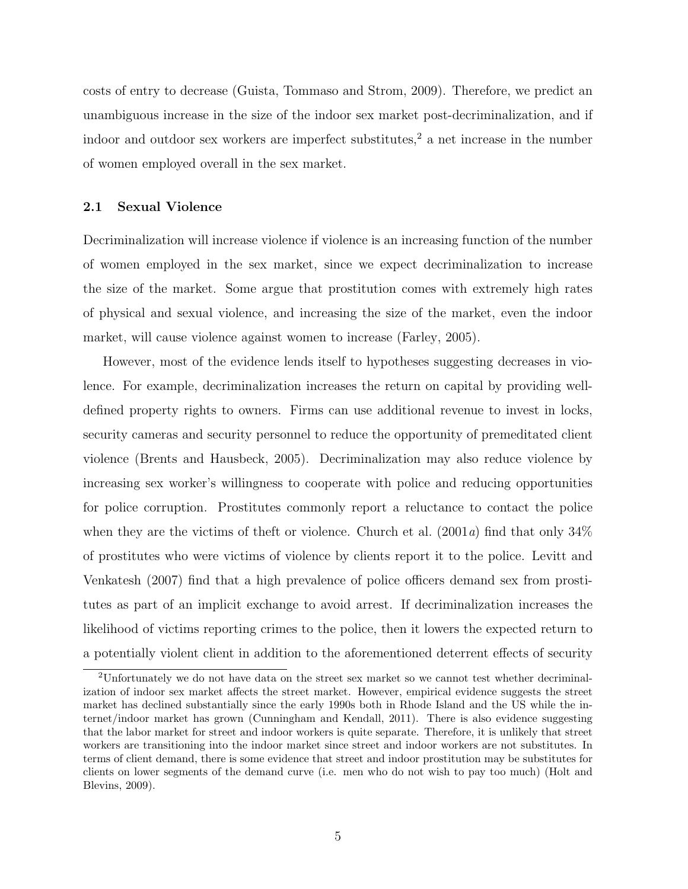costs of entry to decrease (Guista, Tommaso and Strom, 2009). Therefore, we predict an unambiguous increase in the size of the indoor sex market post-decriminalization, and if indoor and outdoor sex workers are imperfect substitutes,<sup>2</sup> a net increase in the number of women employed overall in the sex market.

# 2.1 Sexual Violence

Decriminalization will increase violence if violence is an increasing function of the number of women employed in the sex market, since we expect decriminalization to increase the size of the market. Some argue that prostitution comes with extremely high rates of physical and sexual violence, and increasing the size of the market, even the indoor market, will cause violence against women to increase (Farley, 2005).

However, most of the evidence lends itself to hypotheses suggesting decreases in violence. For example, decriminalization increases the return on capital by providing welldefined property rights to owners. Firms can use additional revenue to invest in locks, security cameras and security personnel to reduce the opportunity of premeditated client violence (Brents and Hausbeck, 2005). Decriminalization may also reduce violence by increasing sex worker's willingness to cooperate with police and reducing opportunities for police corruption. Prostitutes commonly report a reluctance to contact the police when they are the victims of theft or violence. Church et al.  $(2001a)$  find that only  $34\%$ of prostitutes who were victims of violence by clients report it to the police. Levitt and Venkatesh (2007) find that a high prevalence of police officers demand sex from prostitutes as part of an implicit exchange to avoid arrest. If decriminalization increases the likelihood of victims reporting crimes to the police, then it lowers the expected return to a potentially violent client in addition to the aforementioned deterrent effects of security

<sup>2</sup>Unfortunately we do not have data on the street sex market so we cannot test whether decriminalization of indoor sex market affects the street market. However, empirical evidence suggests the street market has declined substantially since the early 1990s both in Rhode Island and the US while the internet/indoor market has grown (Cunningham and Kendall, 2011). There is also evidence suggesting that the labor market for street and indoor workers is quite separate. Therefore, it is unlikely that street workers are transitioning into the indoor market since street and indoor workers are not substitutes. In terms of client demand, there is some evidence that street and indoor prostitution may be substitutes for clients on lower segments of the demand curve (i.e. men who do not wish to pay too much) (Holt and Blevins, 2009).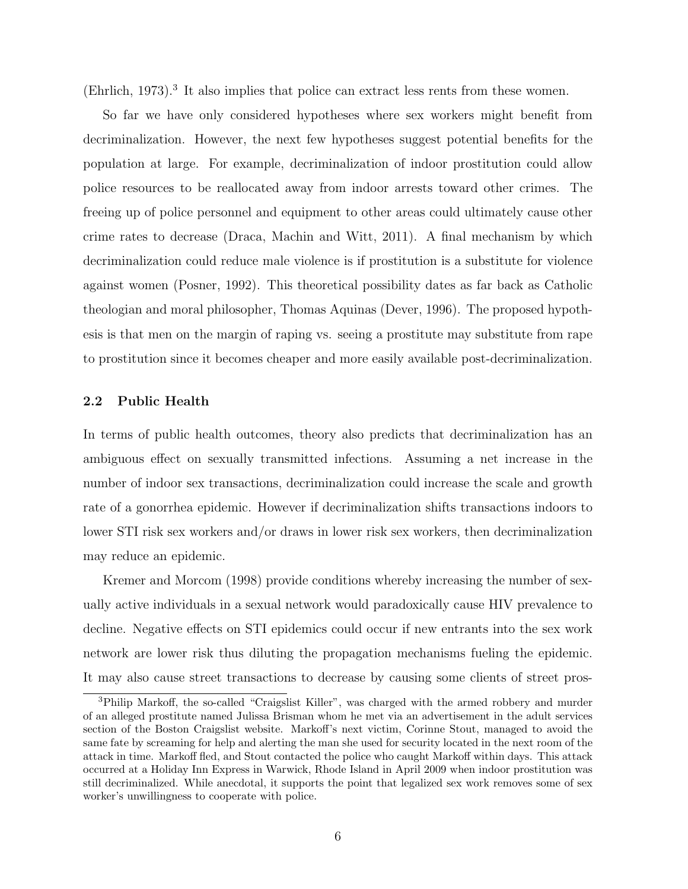(Ehrlich, 1973).<sup>3</sup> It also implies that police can extract less rents from these women.

So far we have only considered hypotheses where sex workers might benefit from decriminalization. However, the next few hypotheses suggest potential benefits for the population at large. For example, decriminalization of indoor prostitution could allow police resources to be reallocated away from indoor arrests toward other crimes. The freeing up of police personnel and equipment to other areas could ultimately cause other crime rates to decrease (Draca, Machin and Witt, 2011). A final mechanism by which decriminalization could reduce male violence is if prostitution is a substitute for violence against women (Posner, 1992). This theoretical possibility dates as far back as Catholic theologian and moral philosopher, Thomas Aquinas (Dever, 1996). The proposed hypothesis is that men on the margin of raping vs. seeing a prostitute may substitute from rape to prostitution since it becomes cheaper and more easily available post-decriminalization.

# 2.2 Public Health

In terms of public health outcomes, theory also predicts that decriminalization has an ambiguous effect on sexually transmitted infections. Assuming a net increase in the number of indoor sex transactions, decriminalization could increase the scale and growth rate of a gonorrhea epidemic. However if decriminalization shifts transactions indoors to lower STI risk sex workers and/or draws in lower risk sex workers, then decriminalization may reduce an epidemic.

Kremer and Morcom (1998) provide conditions whereby increasing the number of sexually active individuals in a sexual network would paradoxically cause HIV prevalence to decline. Negative effects on STI epidemics could occur if new entrants into the sex work network are lower risk thus diluting the propagation mechanisms fueling the epidemic. It may also cause street transactions to decrease by causing some clients of street pros-

<sup>3</sup>Philip Markoff, the so-called "Craigslist Killer", was charged with the armed robbery and murder of an alleged prostitute named Julissa Brisman whom he met via an advertisement in the adult services section of the Boston Craigslist website. Markoff's next victim, Corinne Stout, managed to avoid the same fate by screaming for help and alerting the man she used for security located in the next room of the attack in time. Markoff fled, and Stout contacted the police who caught Markoff within days. This attack occurred at a Holiday Inn Express in Warwick, Rhode Island in April 2009 when indoor prostitution was still decriminalized. While anecdotal, it supports the point that legalized sex work removes some of sex worker's unwillingness to cooperate with police.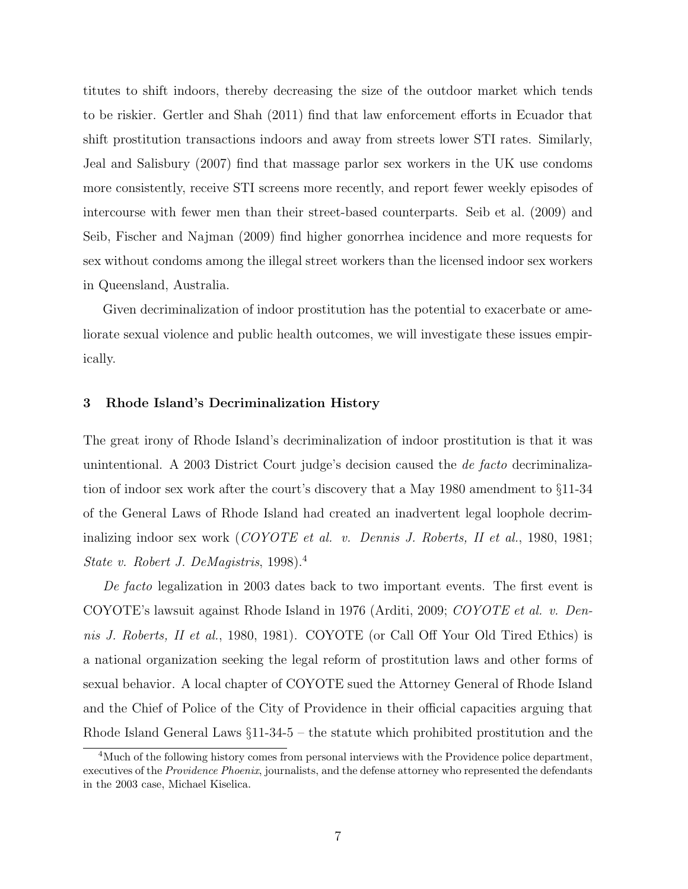titutes to shift indoors, thereby decreasing the size of the outdoor market which tends to be riskier. Gertler and Shah (2011) find that law enforcement efforts in Ecuador that shift prostitution transactions indoors and away from streets lower STI rates. Similarly, Jeal and Salisbury (2007) find that massage parlor sex workers in the UK use condoms more consistently, receive STI screens more recently, and report fewer weekly episodes of intercourse with fewer men than their street-based counterparts. Seib et al. (2009) and Seib, Fischer and Najman (2009) find higher gonorrhea incidence and more requests for sex without condoms among the illegal street workers than the licensed indoor sex workers in Queensland, Australia.

Given decriminalization of indoor prostitution has the potential to exacerbate or ameliorate sexual violence and public health outcomes, we will investigate these issues empirically.

# 3 Rhode Island's Decriminalization History

The great irony of Rhode Island's decriminalization of indoor prostitution is that it was unintentional. A 2003 District Court judge's decision caused the de facto decriminalization of indoor sex work after the court's discovery that a May 1980 amendment to §11-34 of the General Laws of Rhode Island had created an inadvertent legal loophole decriminalizing indoor sex work (COYOTE et al. v. Dennis J. Roberts, II et al., 1980, 1981; State v. Robert J. DeMagistris, 1998).<sup>4</sup>

De facto legalization in 2003 dates back to two important events. The first event is COYOTE's lawsuit against Rhode Island in 1976 (Arditi, 2009; COYOTE et al. v. Dennis J. Roberts, II et al., 1980, 1981). COYOTE (or Call Off Your Old Tired Ethics) is a national organization seeking the legal reform of prostitution laws and other forms of sexual behavior. A local chapter of COYOTE sued the Attorney General of Rhode Island and the Chief of Police of the City of Providence in their official capacities arguing that Rhode Island General Laws §11-34-5 – the statute which prohibited prostitution and the

<sup>&</sup>lt;sup>4</sup>Much of the following history comes from personal interviews with the Providence police department, executives of the Providence Phoenix, journalists, and the defense attorney who represented the defendants in the 2003 case, Michael Kiselica.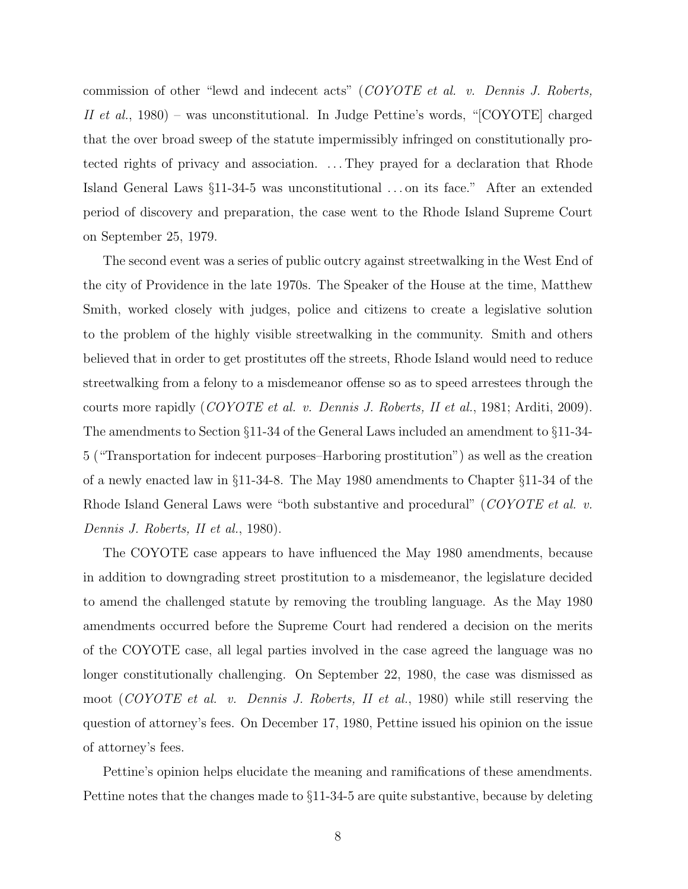commission of other "lewd and indecent acts" (COYOTE et al. v. Dennis J. Roberts, II et al., 1980) – was unconstitutional. In Judge Pettine's words, "[COYOTE] charged that the over broad sweep of the statute impermissibly infringed on constitutionally protected rights of privacy and association. . . . They prayed for a declaration that Rhode Island General Laws §11-34-5 was unconstitutional . . . on its face." After an extended period of discovery and preparation, the case went to the Rhode Island Supreme Court on September 25, 1979.

The second event was a series of public outcry against streetwalking in the West End of the city of Providence in the late 1970s. The Speaker of the House at the time, Matthew Smith, worked closely with judges, police and citizens to create a legislative solution to the problem of the highly visible streetwalking in the community. Smith and others believed that in order to get prostitutes off the streets, Rhode Island would need to reduce streetwalking from a felony to a misdemeanor offense so as to speed arrestees through the courts more rapidly (COYOTE et al. v. Dennis J. Roberts, II et al., 1981; Arditi, 2009). The amendments to Section §11-34 of the General Laws included an amendment to §11-34- 5 ("Transportation for indecent purposes–Harboring prostitution") as well as the creation of a newly enacted law in §11-34-8. The May 1980 amendments to Chapter §11-34 of the Rhode Island General Laws were "both substantive and procedural" (COYOTE et al. v. Dennis J. Roberts, II et al., 1980).

The COYOTE case appears to have influenced the May 1980 amendments, because in addition to downgrading street prostitution to a misdemeanor, the legislature decided to amend the challenged statute by removing the troubling language. As the May 1980 amendments occurred before the Supreme Court had rendered a decision on the merits of the COYOTE case, all legal parties involved in the case agreed the language was no longer constitutionally challenging. On September 22, 1980, the case was dismissed as moot (COYOTE et al. v. Dennis J. Roberts, II et al., 1980) while still reserving the question of attorney's fees. On December 17, 1980, Pettine issued his opinion on the issue of attorney's fees.

Pettine's opinion helps elucidate the meaning and ramifications of these amendments. Pettine notes that the changes made to §11-34-5 are quite substantive, because by deleting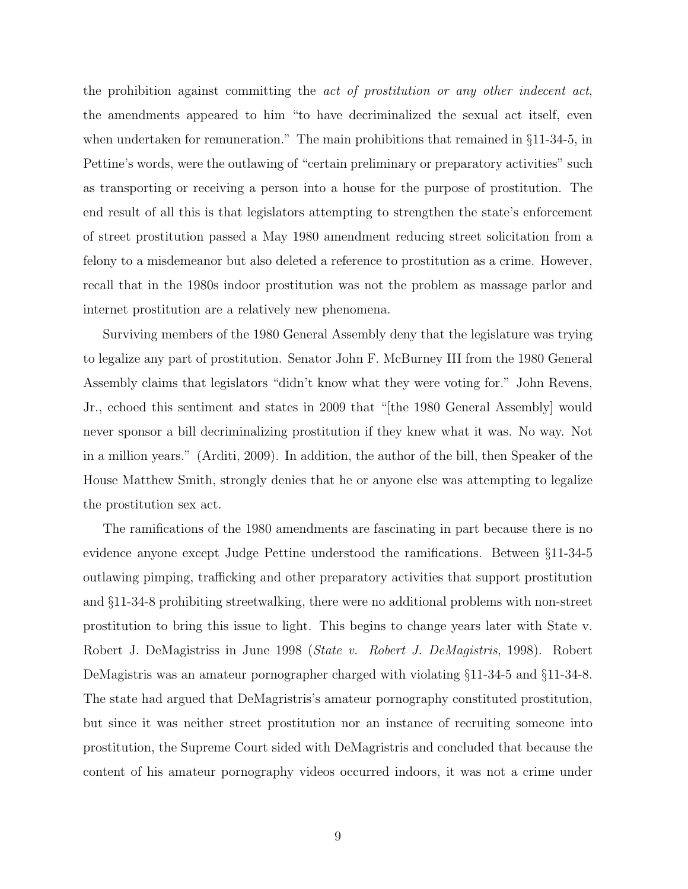the prohibition against committing the act of prostitution or any other indecent act, the amendments appeared to him "to have decriminalized the sexual act itself, even when undertaken for remuneration." The main prohibitions that remained in §11-34-5, in Pettine's words, were the outlawing of "certain preliminary or preparatory activities" such as transporting or receiving a person into a house for the purpose of prostitution. The end result of all this is that legislators attempting to strengthen the state's enforcement of street prostitution passed a May 1980 amendment reducing street solicitation from a felony to a misdemeanor but also deleted a reference to prostitution as a crime. However, recall that in the 1980s indoor prostitution was not the problem as massage parlor and internet prostitution are a relatively new phenomena.

Surviving members of the 1980 General Assembly deny that the legislature was trying to legalize any part of prostitution. Senator John F. McBurney III from the 1980 General Assembly claims that legislators "didn't know what they were voting for." John Revens, Jr., echoed this sentiment and states in 2009 that "[the 1980 General Assembly] would never sponsor a bill decriminalizing prostitution if they knew what it was. No way. Not in a million years." (Arditi, 2009). In addition, the author of the bill, then Speaker of the House Matthew Smith, strongly denies that he or anyone else was attempting to legalize the prostitution sex act.

The ramifications of the 1980 amendments are fascinating in part because there is no evidence anyone except Judge Pettine understood the ramifications. Between §11-34-5 outlawing pimping, trafficking and other preparatory activities that support prostitution and §11-34-8 prohibiting streetwalking, there were no additional problems with non-street prostitution to bring this issue to light. This begins to change years later with State v. Robert J. DeMagistriss in June 1998 (State v. Robert J. DeMagistris, 1998). Robert DeMagistris was an amateur pornographer charged with violating §11-34-5 and §11-34-8. The state had argued that DeMagristris's amateur pornography constituted prostitution, but since it was neither street prostitution nor an instance of recruiting someone into prostitution, the Supreme Court sided with DeMagristris and concluded that because the content of his amateur pornography videos occurred indoors, it was not a crime under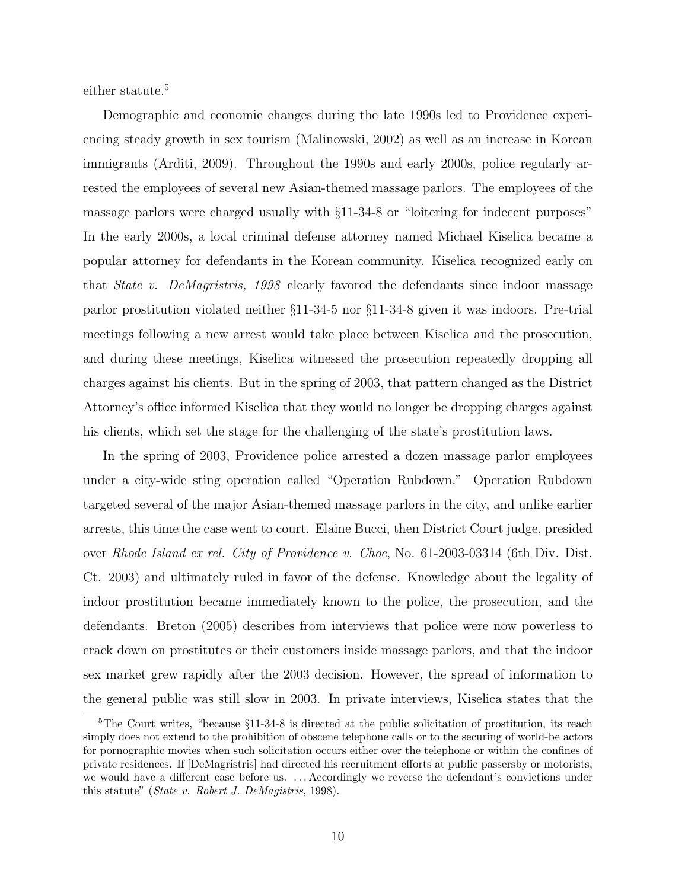either statute.<sup>5</sup>

Demographic and economic changes during the late 1990s led to Providence experiencing steady growth in sex tourism (Malinowski, 2002) as well as an increase in Korean immigrants (Arditi, 2009). Throughout the 1990s and early 2000s, police regularly arrested the employees of several new Asian-themed massage parlors. The employees of the massage parlors were charged usually with §11-34-8 or "loitering for indecent purposes" In the early 2000s, a local criminal defense attorney named Michael Kiselica became a popular attorney for defendants in the Korean community. Kiselica recognized early on that State v. DeMagristris, 1998 clearly favored the defendants since indoor massage parlor prostitution violated neither §11-34-5 nor §11-34-8 given it was indoors. Pre-trial meetings following a new arrest would take place between Kiselica and the prosecution, and during these meetings, Kiselica witnessed the prosecution repeatedly dropping all charges against his clients. But in the spring of 2003, that pattern changed as the District Attorney's office informed Kiselica that they would no longer be dropping charges against his clients, which set the stage for the challenging of the state's prostitution laws.

In the spring of 2003, Providence police arrested a dozen massage parlor employees under a city-wide sting operation called "Operation Rubdown." Operation Rubdown targeted several of the major Asian-themed massage parlors in the city, and unlike earlier arrests, this time the case went to court. Elaine Bucci, then District Court judge, presided over Rhode Island ex rel. City of Providence v. Choe, No. 61-2003-03314 (6th Div. Dist. Ct. 2003) and ultimately ruled in favor of the defense. Knowledge about the legality of indoor prostitution became immediately known to the police, the prosecution, and the defendants. Breton (2005) describes from interviews that police were now powerless to crack down on prostitutes or their customers inside massage parlors, and that the indoor sex market grew rapidly after the 2003 decision. However, the spread of information to the general public was still slow in 2003. In private interviews, Kiselica states that the

<sup>&</sup>lt;sup>5</sup>The Court writes, "because  $\S11-34-8$  is directed at the public solicitation of prostitution, its reach simply does not extend to the prohibition of obscene telephone calls or to the securing of world-be actors for pornographic movies when such solicitation occurs either over the telephone or within the confines of private residences. If [DeMagristris] had directed his recruitment efforts at public passersby or motorists, we would have a different case before us. . . . Accordingly we reverse the defendant's convictions under this statute" (State v. Robert J. DeMagistris, 1998).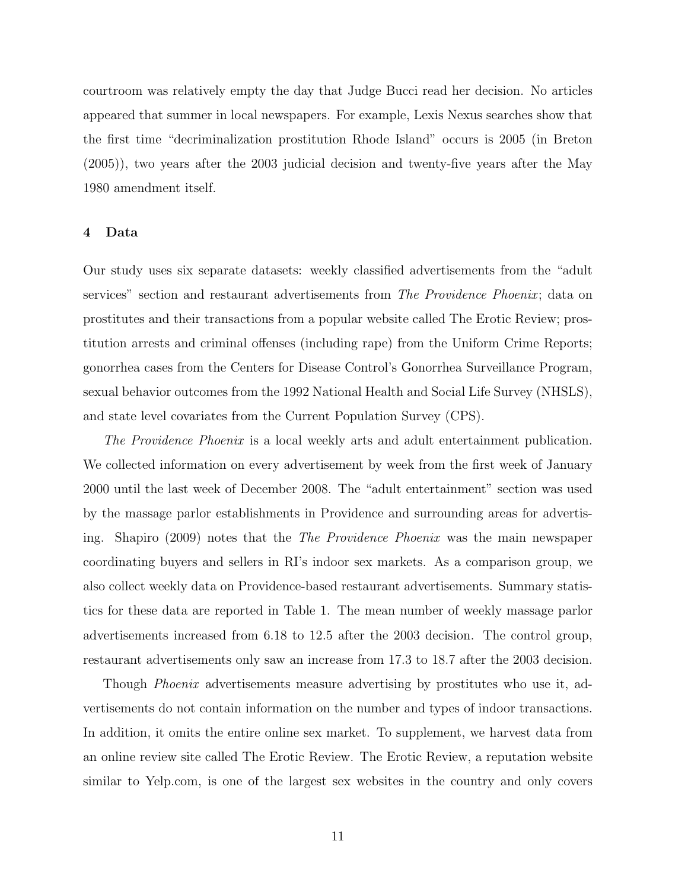courtroom was relatively empty the day that Judge Bucci read her decision. No articles appeared that summer in local newspapers. For example, Lexis Nexus searches show that the first time "decriminalization prostitution Rhode Island" occurs is 2005 (in Breton (2005)), two years after the 2003 judicial decision and twenty-five years after the May 1980 amendment itself.

## 4 Data

Our study uses six separate datasets: weekly classified advertisements from the "adult services" section and restaurant advertisements from The Providence Phoenix; data on prostitutes and their transactions from a popular website called The Erotic Review; prostitution arrests and criminal offenses (including rape) from the Uniform Crime Reports; gonorrhea cases from the Centers for Disease Control's Gonorrhea Surveillance Program, sexual behavior outcomes from the 1992 National Health and Social Life Survey (NHSLS), and state level covariates from the Current Population Survey (CPS).

The Providence Phoenix is a local weekly arts and adult entertainment publication. We collected information on every advertisement by week from the first week of January 2000 until the last week of December 2008. The "adult entertainment" section was used by the massage parlor establishments in Providence and surrounding areas for advertising. Shapiro (2009) notes that the The Providence Phoenix was the main newspaper coordinating buyers and sellers in RI's indoor sex markets. As a comparison group, we also collect weekly data on Providence-based restaurant advertisements. Summary statistics for these data are reported in Table 1. The mean number of weekly massage parlor advertisements increased from 6.18 to 12.5 after the 2003 decision. The control group, restaurant advertisements only saw an increase from 17.3 to 18.7 after the 2003 decision.

Though *Phoenix* advertisements measure advertising by prostitutes who use it, advertisements do not contain information on the number and types of indoor transactions. In addition, it omits the entire online sex market. To supplement, we harvest data from an online review site called The Erotic Review. The Erotic Review, a reputation website similar to Yelp.com, is one of the largest sex websites in the country and only covers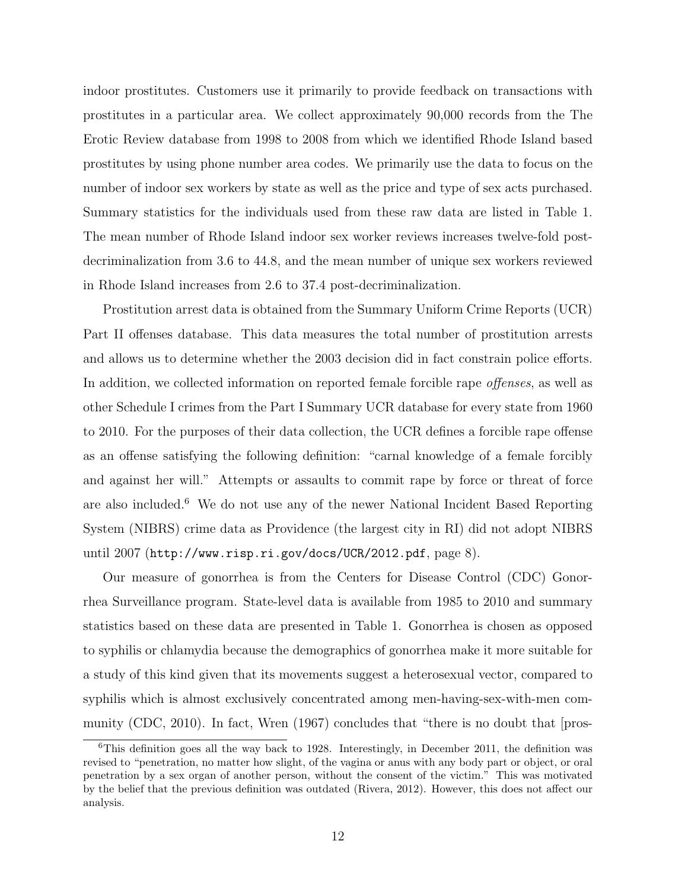indoor prostitutes. Customers use it primarily to provide feedback on transactions with prostitutes in a particular area. We collect approximately 90,000 records from the The Erotic Review database from 1998 to 2008 from which we identified Rhode Island based prostitutes by using phone number area codes. We primarily use the data to focus on the number of indoor sex workers by state as well as the price and type of sex acts purchased. Summary statistics for the individuals used from these raw data are listed in Table 1. The mean number of Rhode Island indoor sex worker reviews increases twelve-fold postdecriminalization from 3.6 to 44.8, and the mean number of unique sex workers reviewed in Rhode Island increases from 2.6 to 37.4 post-decriminalization.

Prostitution arrest data is obtained from the Summary Uniform Crime Reports (UCR) Part II offenses database. This data measures the total number of prostitution arrests and allows us to determine whether the 2003 decision did in fact constrain police efforts. In addition, we collected information on reported female forcible rape offenses, as well as other Schedule I crimes from the Part I Summary UCR database for every state from 1960 to 2010. For the purposes of their data collection, the UCR defines a forcible rape offense as an offense satisfying the following definition: "carnal knowledge of a female forcibly and against her will." Attempts or assaults to commit rape by force or threat of force are also included.<sup>6</sup> We do not use any of the newer National Incident Based Reporting System (NIBRS) crime data as Providence (the largest city in RI) did not adopt NIBRS until 2007 (http://www.risp.ri.gov/docs/UCR/2012.pdf, page 8).

Our measure of gonorrhea is from the Centers for Disease Control (CDC) Gonorrhea Surveillance program. State-level data is available from 1985 to 2010 and summary statistics based on these data are presented in Table 1. Gonorrhea is chosen as opposed to syphilis or chlamydia because the demographics of gonorrhea make it more suitable for a study of this kind given that its movements suggest a heterosexual vector, compared to syphilis which is almost exclusively concentrated among men-having-sex-with-men community (CDC, 2010). In fact, Wren (1967) concludes that "there is no doubt that [pros-

 $6$ This definition goes all the way back to 1928. Interestingly, in December 2011, the definition was revised to "penetration, no matter how slight, of the vagina or anus with any body part or object, or oral penetration by a sex organ of another person, without the consent of the victim." This was motivated by the belief that the previous definition was outdated (Rivera, 2012). However, this does not affect our analysis.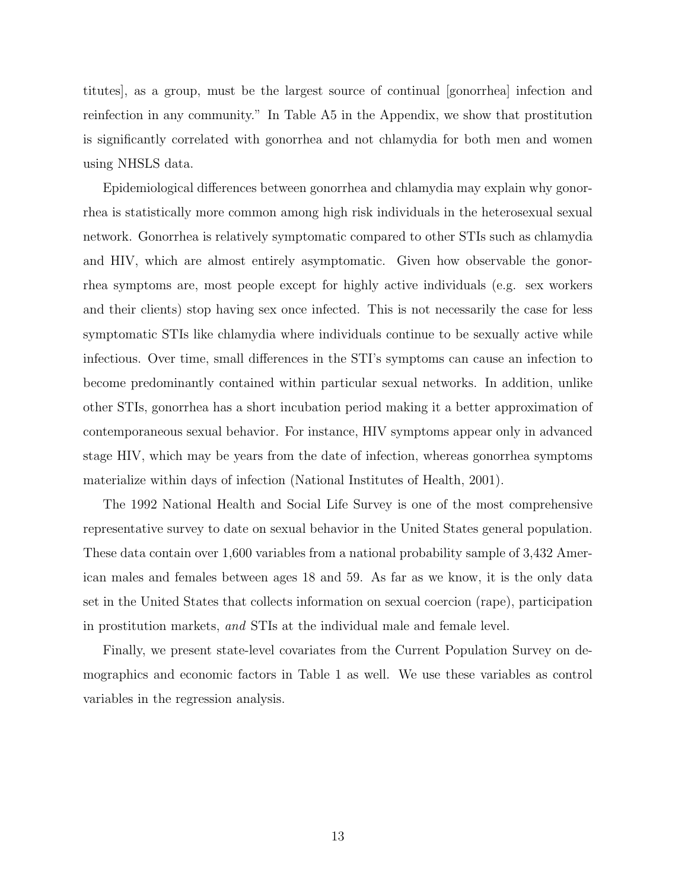titutes], as a group, must be the largest source of continual [gonorrhea] infection and reinfection in any community." In Table A5 in the Appendix, we show that prostitution is significantly correlated with gonorrhea and not chlamydia for both men and women using NHSLS data.

Epidemiological differences between gonorrhea and chlamydia may explain why gonorrhea is statistically more common among high risk individuals in the heterosexual sexual network. Gonorrhea is relatively symptomatic compared to other STIs such as chlamydia and HIV, which are almost entirely asymptomatic. Given how observable the gonorrhea symptoms are, most people except for highly active individuals (e.g. sex workers and their clients) stop having sex once infected. This is not necessarily the case for less symptomatic STIs like chlamydia where individuals continue to be sexually active while infectious. Over time, small differences in the STI's symptoms can cause an infection to become predominantly contained within particular sexual networks. In addition, unlike other STIs, gonorrhea has a short incubation period making it a better approximation of contemporaneous sexual behavior. For instance, HIV symptoms appear only in advanced stage HIV, which may be years from the date of infection, whereas gonorrhea symptoms materialize within days of infection (National Institutes of Health, 2001).

The 1992 National Health and Social Life Survey is one of the most comprehensive representative survey to date on sexual behavior in the United States general population. These data contain over 1,600 variables from a national probability sample of 3,432 American males and females between ages 18 and 59. As far as we know, it is the only data set in the United States that collects information on sexual coercion (rape), participation in prostitution markets, and STIs at the individual male and female level.

Finally, we present state-level covariates from the Current Population Survey on demographics and economic factors in Table 1 as well. We use these variables as control variables in the regression analysis.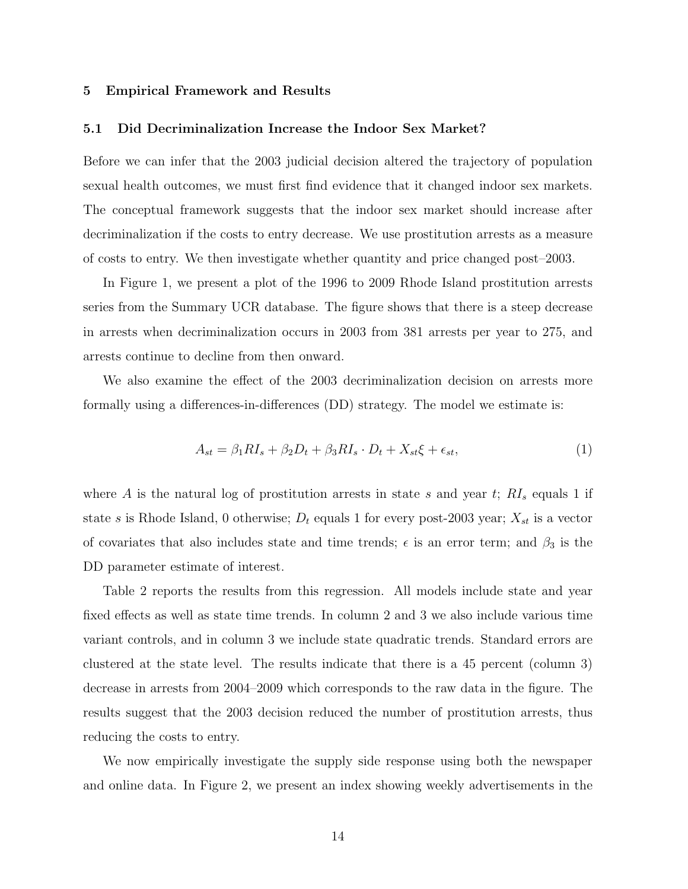## 5 Empirical Framework and Results

#### 5.1 Did Decriminalization Increase the Indoor Sex Market?

Before we can infer that the 2003 judicial decision altered the trajectory of population sexual health outcomes, we must first find evidence that it changed indoor sex markets. The conceptual framework suggests that the indoor sex market should increase after decriminalization if the costs to entry decrease. We use prostitution arrests as a measure of costs to entry. We then investigate whether quantity and price changed post–2003.

In Figure 1, we present a plot of the 1996 to 2009 Rhode Island prostitution arrests series from the Summary UCR database. The figure shows that there is a steep decrease in arrests when decriminalization occurs in 2003 from 381 arrests per year to 275, and arrests continue to decline from then onward.

We also examine the effect of the 2003 decriminalization decision on arrests more formally using a differences-in-differences (DD) strategy. The model we estimate is:

$$
A_{st} = \beta_1 R I_s + \beta_2 D_t + \beta_3 R I_s \cdot D_t + X_{st} \xi + \epsilon_{st},\tag{1}
$$

where A is the natural log of prostitution arrests in state s and year t;  $RI_s$  equals 1 if state s is Rhode Island, 0 otherwise;  $D_t$  equals 1 for every post-2003 year;  $X_{st}$  is a vector of covariates that also includes state and time trends;  $\epsilon$  is an error term; and  $\beta_3$  is the DD parameter estimate of interest.

Table 2 reports the results from this regression. All models include state and year fixed effects as well as state time trends. In column 2 and 3 we also include various time variant controls, and in column 3 we include state quadratic trends. Standard errors are clustered at the state level. The results indicate that there is a 45 percent (column 3) decrease in arrests from 2004–2009 which corresponds to the raw data in the figure. The results suggest that the 2003 decision reduced the number of prostitution arrests, thus reducing the costs to entry.

We now empirically investigate the supply side response using both the newspaper and online data. In Figure 2, we present an index showing weekly advertisements in the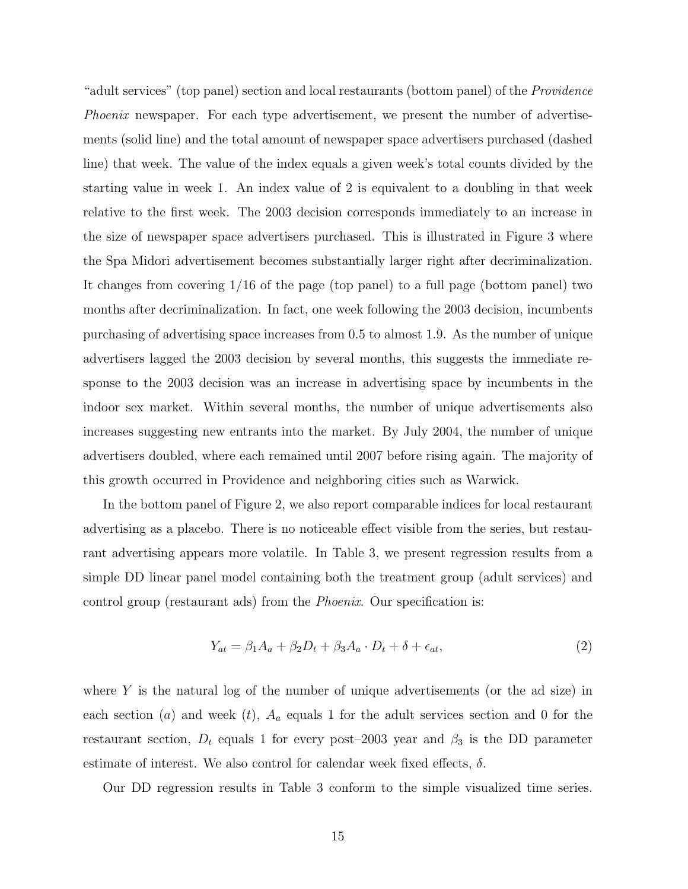"adult services" (top panel) section and local restaurants (bottom panel) of the Providence Phoenix newspaper. For each type advertisement, we present the number of advertisements (solid line) and the total amount of newspaper space advertisers purchased (dashed line) that week. The value of the index equals a given week's total counts divided by the starting value in week 1. An index value of 2 is equivalent to a doubling in that week relative to the first week. The 2003 decision corresponds immediately to an increase in the size of newspaper space advertisers purchased. This is illustrated in Figure 3 where the Spa Midori advertisement becomes substantially larger right after decriminalization. It changes from covering 1/16 of the page (top panel) to a full page (bottom panel) two months after decriminalization. In fact, one week following the 2003 decision, incumbents purchasing of advertising space increases from 0.5 to almost 1.9. As the number of unique advertisers lagged the 2003 decision by several months, this suggests the immediate response to the 2003 decision was an increase in advertising space by incumbents in the indoor sex market. Within several months, the number of unique advertisements also increases suggesting new entrants into the market. By July 2004, the number of unique advertisers doubled, where each remained until 2007 before rising again. The majority of this growth occurred in Providence and neighboring cities such as Warwick.

In the bottom panel of Figure 2, we also report comparable indices for local restaurant advertising as a placebo. There is no noticeable effect visible from the series, but restaurant advertising appears more volatile. In Table 3, we present regression results from a simple DD linear panel model containing both the treatment group (adult services) and control group (restaurant ads) from the Phoenix. Our specification is:

$$
Y_{at} = \beta_1 A_a + \beta_2 D_t + \beta_3 A_a \cdot D_t + \delta + \epsilon_{at},\tag{2}
$$

where  $Y$  is the natural log of the number of unique advertisements (or the ad size) in each section (a) and week (t),  $A_a$  equals 1 for the adult services section and 0 for the restaurant section,  $D_t$  equals 1 for every post–2003 year and  $\beta_3$  is the DD parameter estimate of interest. We also control for calendar week fixed effects,  $\delta$ .

Our DD regression results in Table 3 conform to the simple visualized time series.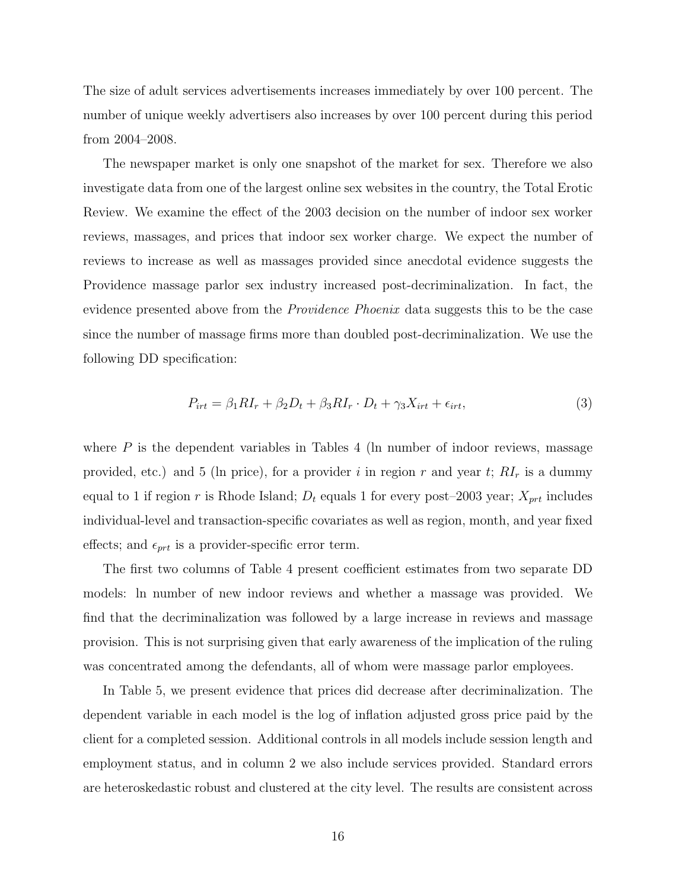The size of adult services advertisements increases immediately by over 100 percent. The number of unique weekly advertisers also increases by over 100 percent during this period from 2004–2008.

The newspaper market is only one snapshot of the market for sex. Therefore we also investigate data from one of the largest online sex websites in the country, the Total Erotic Review. We examine the effect of the 2003 decision on the number of indoor sex worker reviews, massages, and prices that indoor sex worker charge. We expect the number of reviews to increase as well as massages provided since anecdotal evidence suggests the Providence massage parlor sex industry increased post-decriminalization. In fact, the evidence presented above from the *Providence Phoenix* data suggests this to be the case since the number of massage firms more than doubled post-decriminalization. We use the following DD specification:

$$
P_{irt} = \beta_1 RI_r + \beta_2 D_t + \beta_3 RI_r \cdot D_t + \gamma_3 X_{irt} + \epsilon_{irt},\tag{3}
$$

where  $P$  is the dependent variables in Tables 4 (ln number of indoor reviews, massage provided, etc.) and 5 (ln price), for a provider i in region r and year t;  $RI_r$  is a dummy equal to 1 if region r is Rhode Island;  $D_t$  equals 1 for every post–2003 year;  $X_{prt}$  includes individual-level and transaction-specific covariates as well as region, month, and year fixed effects; and  $\epsilon_{prt}$  is a provider-specific error term.

The first two columns of Table 4 present coefficient estimates from two separate DD models: ln number of new indoor reviews and whether a massage was provided. We find that the decriminalization was followed by a large increase in reviews and massage provision. This is not surprising given that early awareness of the implication of the ruling was concentrated among the defendants, all of whom were massage parlor employees.

In Table 5, we present evidence that prices did decrease after decriminalization. The dependent variable in each model is the log of inflation adjusted gross price paid by the client for a completed session. Additional controls in all models include session length and employment status, and in column 2 we also include services provided. Standard errors are heteroskedastic robust and clustered at the city level. The results are consistent across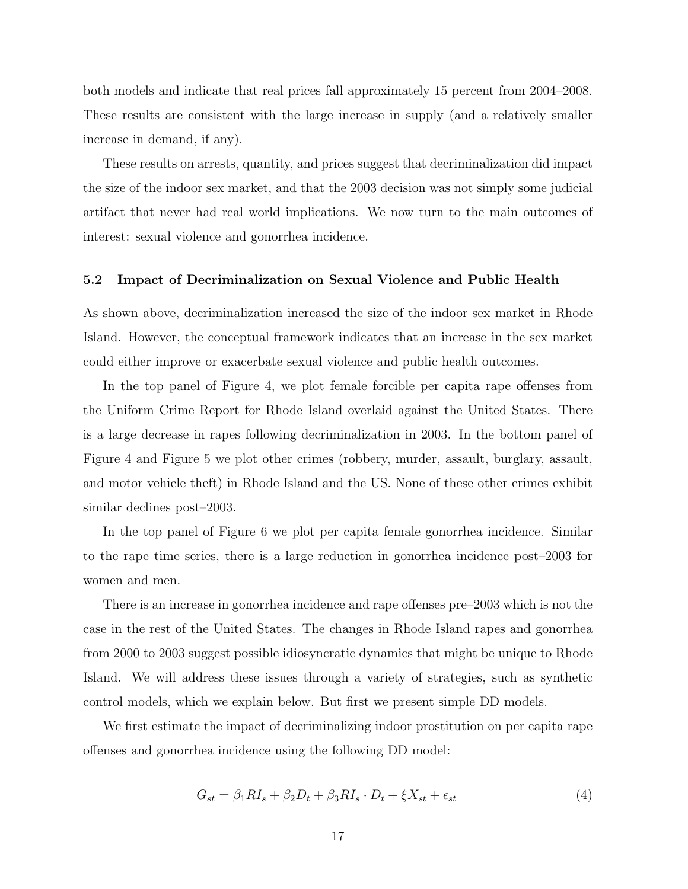both models and indicate that real prices fall approximately 15 percent from 2004–2008. These results are consistent with the large increase in supply (and a relatively smaller increase in demand, if any).

These results on arrests, quantity, and prices suggest that decriminalization did impact the size of the indoor sex market, and that the 2003 decision was not simply some judicial artifact that never had real world implications. We now turn to the main outcomes of interest: sexual violence and gonorrhea incidence.

# 5.2 Impact of Decriminalization on Sexual Violence and Public Health

As shown above, decriminalization increased the size of the indoor sex market in Rhode Island. However, the conceptual framework indicates that an increase in the sex market could either improve or exacerbate sexual violence and public health outcomes.

In the top panel of Figure 4, we plot female forcible per capita rape offenses from the Uniform Crime Report for Rhode Island overlaid against the United States. There is a large decrease in rapes following decriminalization in 2003. In the bottom panel of Figure 4 and Figure 5 we plot other crimes (robbery, murder, assault, burglary, assault, and motor vehicle theft) in Rhode Island and the US. None of these other crimes exhibit similar declines post–2003.

In the top panel of Figure 6 we plot per capita female gonorrhea incidence. Similar to the rape time series, there is a large reduction in gonorrhea incidence post–2003 for women and men.

There is an increase in gonorrhea incidence and rape offenses pre–2003 which is not the case in the rest of the United States. The changes in Rhode Island rapes and gonorrhea from 2000 to 2003 suggest possible idiosyncratic dynamics that might be unique to Rhode Island. We will address these issues through a variety of strategies, such as synthetic control models, which we explain below. But first we present simple DD models.

We first estimate the impact of decriminalizing indoor prostitution on per capita rape offenses and gonorrhea incidence using the following DD model:

$$
G_{st} = \beta_1 R I_s + \beta_2 D_t + \beta_3 R I_s \cdot D_t + \xi X_{st} + \epsilon_{st} \tag{4}
$$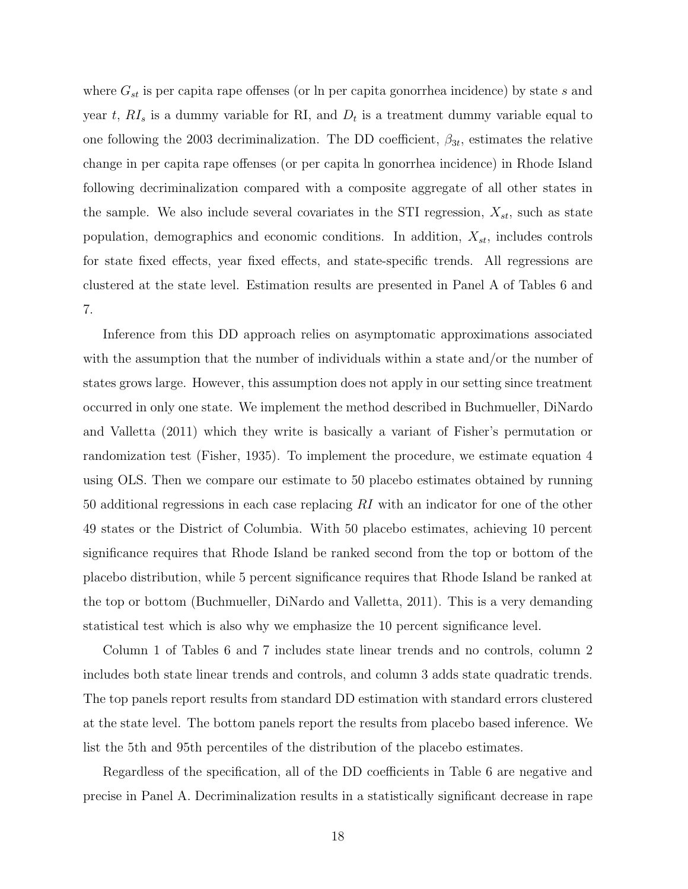where  $G_{st}$  is per capita rape offenses (or ln per capita gonorrhea incidence) by state s and year t,  $RI_s$  is a dummy variable for RI, and  $D_t$  is a treatment dummy variable equal to one following the 2003 decriminalization. The DD coefficient,  $\beta_{3t}$ , estimates the relative change in per capita rape offenses (or per capita ln gonorrhea incidence) in Rhode Island following decriminalization compared with a composite aggregate of all other states in the sample. We also include several covariates in the STI regression,  $X_{st}$ , such as state population, demographics and economic conditions. In addition,  $X_{st}$ , includes controls for state fixed effects, year fixed effects, and state-specific trends. All regressions are clustered at the state level. Estimation results are presented in Panel A of Tables 6 and 7.

Inference from this DD approach relies on asymptomatic approximations associated with the assumption that the number of individuals within a state and/or the number of states grows large. However, this assumption does not apply in our setting since treatment occurred in only one state. We implement the method described in Buchmueller, DiNardo and Valletta (2011) which they write is basically a variant of Fisher's permutation or randomization test (Fisher, 1935). To implement the procedure, we estimate equation 4 using OLS. Then we compare our estimate to 50 placebo estimates obtained by running 50 additional regressions in each case replacing RI with an indicator for one of the other 49 states or the District of Columbia. With 50 placebo estimates, achieving 10 percent significance requires that Rhode Island be ranked second from the top or bottom of the placebo distribution, while 5 percent significance requires that Rhode Island be ranked at the top or bottom (Buchmueller, DiNardo and Valletta, 2011). This is a very demanding statistical test which is also why we emphasize the 10 percent significance level.

Column 1 of Tables 6 and 7 includes state linear trends and no controls, column 2 includes both state linear trends and controls, and column 3 adds state quadratic trends. The top panels report results from standard DD estimation with standard errors clustered at the state level. The bottom panels report the results from placebo based inference. We list the 5th and 95th percentiles of the distribution of the placebo estimates.

Regardless of the specification, all of the DD coefficients in Table 6 are negative and precise in Panel A. Decriminalization results in a statistically significant decrease in rape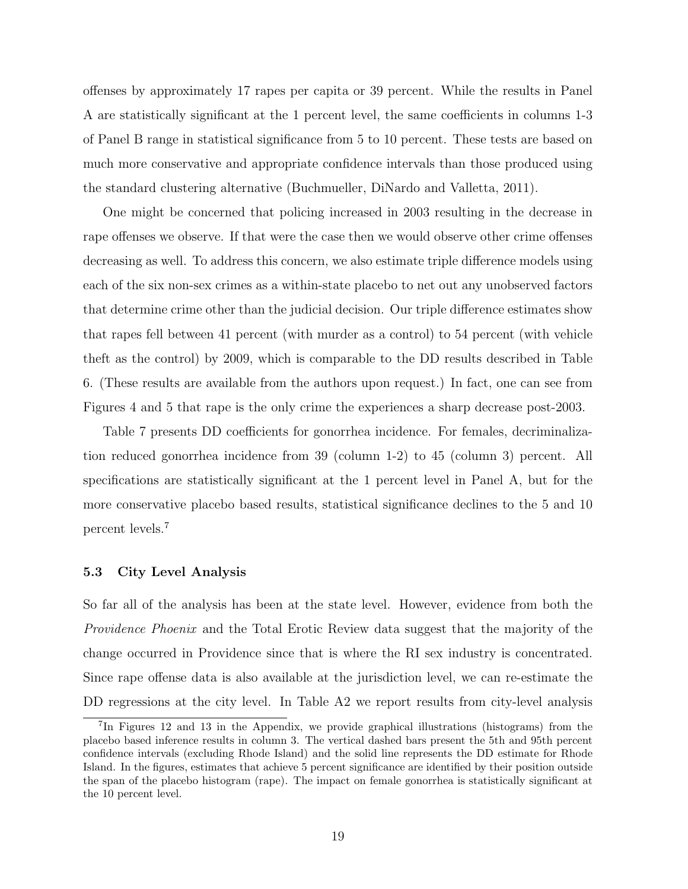offenses by approximately 17 rapes per capita or 39 percent. While the results in Panel A are statistically significant at the 1 percent level, the same coefficients in columns 1-3 of Panel B range in statistical significance from 5 to 10 percent. These tests are based on much more conservative and appropriate confidence intervals than those produced using the standard clustering alternative (Buchmueller, DiNardo and Valletta, 2011).

One might be concerned that policing increased in 2003 resulting in the decrease in rape offenses we observe. If that were the case then we would observe other crime offenses decreasing as well. To address this concern, we also estimate triple difference models using each of the six non-sex crimes as a within-state placebo to net out any unobserved factors that determine crime other than the judicial decision. Our triple difference estimates show that rapes fell between 41 percent (with murder as a control) to 54 percent (with vehicle theft as the control) by 2009, which is comparable to the DD results described in Table 6. (These results are available from the authors upon request.) In fact, one can see from Figures 4 and 5 that rape is the only crime the experiences a sharp decrease post-2003.

Table 7 presents DD coefficients for gonorrhea incidence. For females, decriminalization reduced gonorrhea incidence from 39 (column 1-2) to 45 (column 3) percent. All specifications are statistically significant at the 1 percent level in Panel A, but for the more conservative placebo based results, statistical significance declines to the 5 and 10 percent levels.<sup>7</sup>

# 5.3 City Level Analysis

So far all of the analysis has been at the state level. However, evidence from both the Providence Phoenix and the Total Erotic Review data suggest that the majority of the change occurred in Providence since that is where the RI sex industry is concentrated. Since rape offense data is also available at the jurisdiction level, we can re-estimate the DD regressions at the city level. In Table A2 we report results from city-level analysis

<sup>7</sup> In Figures 12 and 13 in the Appendix, we provide graphical illustrations (histograms) from the placebo based inference results in column 3. The vertical dashed bars present the 5th and 95th percent confidence intervals (excluding Rhode Island) and the solid line represents the DD estimate for Rhode Island. In the figures, estimates that achieve 5 percent significance are identified by their position outside the span of the placebo histogram (rape). The impact on female gonorrhea is statistically significant at the 10 percent level.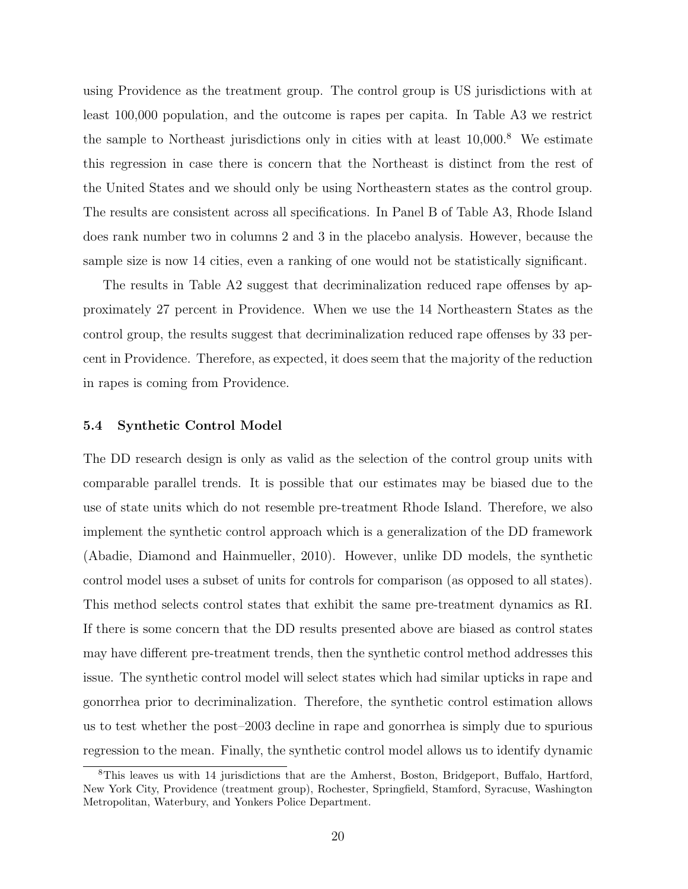using Providence as the treatment group. The control group is US jurisdictions with at least 100,000 population, and the outcome is rapes per capita. In Table A3 we restrict the sample to Northeast jurisdictions only in cities with at least  $10,000$ .<sup>8</sup> We estimate this regression in case there is concern that the Northeast is distinct from the rest of the United States and we should only be using Northeastern states as the control group. The results are consistent across all specifications. In Panel B of Table A3, Rhode Island does rank number two in columns 2 and 3 in the placebo analysis. However, because the sample size is now 14 cities, even a ranking of one would not be statistically significant.

The results in Table A2 suggest that decriminalization reduced rape offenses by approximately 27 percent in Providence. When we use the 14 Northeastern States as the control group, the results suggest that decriminalization reduced rape offenses by 33 percent in Providence. Therefore, as expected, it does seem that the majority of the reduction in rapes is coming from Providence.

# 5.4 Synthetic Control Model

The DD research design is only as valid as the selection of the control group units with comparable parallel trends. It is possible that our estimates may be biased due to the use of state units which do not resemble pre-treatment Rhode Island. Therefore, we also implement the synthetic control approach which is a generalization of the DD framework (Abadie, Diamond and Hainmueller, 2010). However, unlike DD models, the synthetic control model uses a subset of units for controls for comparison (as opposed to all states). This method selects control states that exhibit the same pre-treatment dynamics as RI. If there is some concern that the DD results presented above are biased as control states may have different pre-treatment trends, then the synthetic control method addresses this issue. The synthetic control model will select states which had similar upticks in rape and gonorrhea prior to decriminalization. Therefore, the synthetic control estimation allows us to test whether the post–2003 decline in rape and gonorrhea is simply due to spurious regression to the mean. Finally, the synthetic control model allows us to identify dynamic

<sup>8</sup>This leaves us with 14 jurisdictions that are the Amherst, Boston, Bridgeport, Buffalo, Hartford, New York City, Providence (treatment group), Rochester, Springfield, Stamford, Syracuse, Washington Metropolitan, Waterbury, and Yonkers Police Department.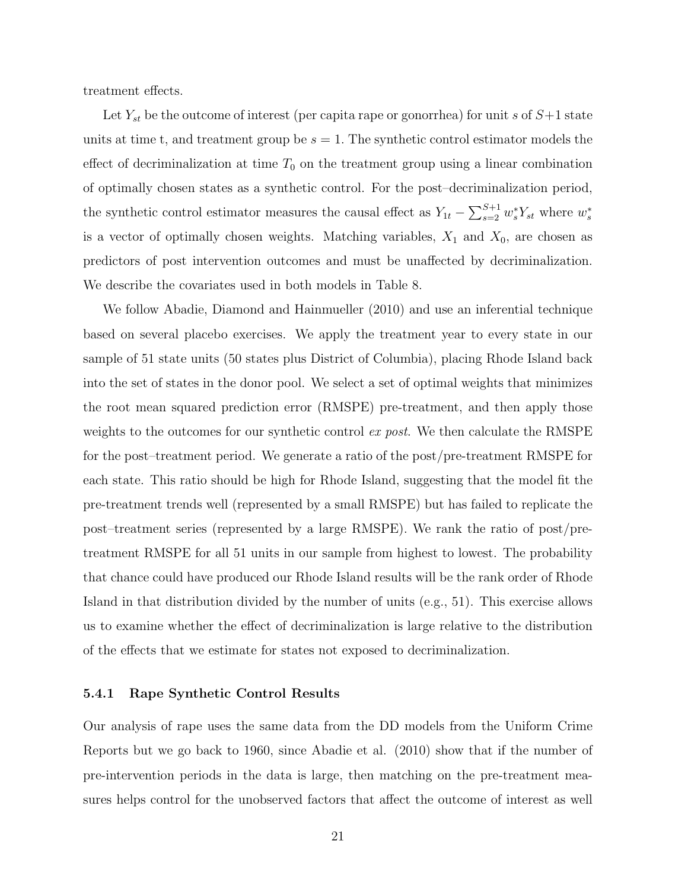treatment effects.

Let  $Y_{st}$  be the outcome of interest (per capita rape or gonorrhea) for unit s of  $S+1$  state units at time t, and treatment group be  $s = 1$ . The synthetic control estimator models the effect of decriminalization at time  $T_0$  on the treatment group using a linear combination of optimally chosen states as a synthetic control. For the post–decriminalization period, the synthetic control estimator measures the causal effect as  $Y_{1t} - \sum_{s=2}^{S+1} w_s^* Y_{st}$  where  $w_s^*$ is a vector of optimally chosen weights. Matching variables,  $X_1$  and  $X_0$ , are chosen as predictors of post intervention outcomes and must be unaffected by decriminalization. We describe the covariates used in both models in Table 8.

We follow Abadie, Diamond and Hainmueller (2010) and use an inferential technique based on several placebo exercises. We apply the treatment year to every state in our sample of 51 state units (50 states plus District of Columbia), placing Rhode Island back into the set of states in the donor pool. We select a set of optimal weights that minimizes the root mean squared prediction error (RMSPE) pre-treatment, and then apply those weights to the outcomes for our synthetic control ex post. We then calculate the RMSPE for the post–treatment period. We generate a ratio of the post/pre-treatment RMSPE for each state. This ratio should be high for Rhode Island, suggesting that the model fit the pre-treatment trends well (represented by a small RMSPE) but has failed to replicate the post–treatment series (represented by a large RMSPE). We rank the ratio of post/pretreatment RMSPE for all 51 units in our sample from highest to lowest. The probability that chance could have produced our Rhode Island results will be the rank order of Rhode Island in that distribution divided by the number of units (e.g., 51). This exercise allows us to examine whether the effect of decriminalization is large relative to the distribution of the effects that we estimate for states not exposed to decriminalization.

# 5.4.1 Rape Synthetic Control Results

Our analysis of rape uses the same data from the DD models from the Uniform Crime Reports but we go back to 1960, since Abadie et al. (2010) show that if the number of pre-intervention periods in the data is large, then matching on the pre-treatment measures helps control for the unobserved factors that affect the outcome of interest as well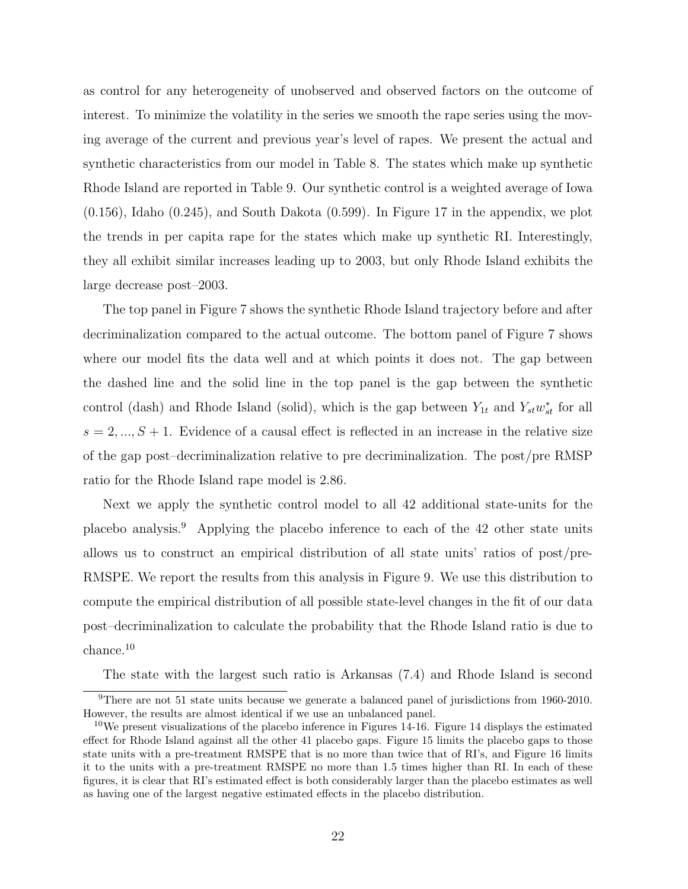as control for any heterogeneity of unobserved and observed factors on the outcome of interest. To minimize the volatility in the series we smooth the rape series using the moving average of the current and previous year's level of rapes. We present the actual and synthetic characteristics from our model in Table 8. The states which make up synthetic Rhode Island are reported in Table 9. Our synthetic control is a weighted average of Iowa (0.156), Idaho (0.245), and South Dakota (0.599). In Figure 17 in the appendix, we plot the trends in per capita rape for the states which make up synthetic RI. Interestingly, they all exhibit similar increases leading up to 2003, but only Rhode Island exhibits the large decrease post–2003.

The top panel in Figure 7 shows the synthetic Rhode Island trajectory before and after decriminalization compared to the actual outcome. The bottom panel of Figure 7 shows where our model fits the data well and at which points it does not. The gap between the dashed line and the solid line in the top panel is the gap between the synthetic control (dash) and Rhode Island (solid), which is the gap between  $Y_{1t}$  and  $Y_{st}w_{st}^*$  for all  $s = 2, ..., S + 1$ . Evidence of a causal effect is reflected in an increase in the relative size of the gap post–decriminalization relative to pre decriminalization. The post/pre RMSP ratio for the Rhode Island rape model is 2.86.

Next we apply the synthetic control model to all 42 additional state-units for the placebo analysis.<sup>9</sup> Applying the placebo inference to each of the 42 other state units allows us to construct an empirical distribution of all state units' ratios of post/pre-RMSPE. We report the results from this analysis in Figure 9. We use this distribution to compute the empirical distribution of all possible state-level changes in the fit of our data post–decriminalization to calculate the probability that the Rhode Island ratio is due to chance.<sup>10</sup>

The state with the largest such ratio is Arkansas (7.4) and Rhode Island is second

<sup>9</sup>There are not 51 state units because we generate a balanced panel of jurisdictions from 1960-2010. However, the results are almost identical if we use an unbalanced panel.

<sup>&</sup>lt;sup>10</sup>We present visualizations of the placebo inference in Figures  $14$ -16. Figure 14 displays the estimated effect for Rhode Island against all the other 41 placebo gaps. Figure 15 limits the placebo gaps to those state units with a pre-treatment RMSPE that is no more than twice that of RI's, and Figure 16 limits it to the units with a pre-treatment RMSPE no more than 1.5 times higher than RI. In each of these figures, it is clear that RI's estimated effect is both considerably larger than the placebo estimates as well as having one of the largest negative estimated effects in the placebo distribution.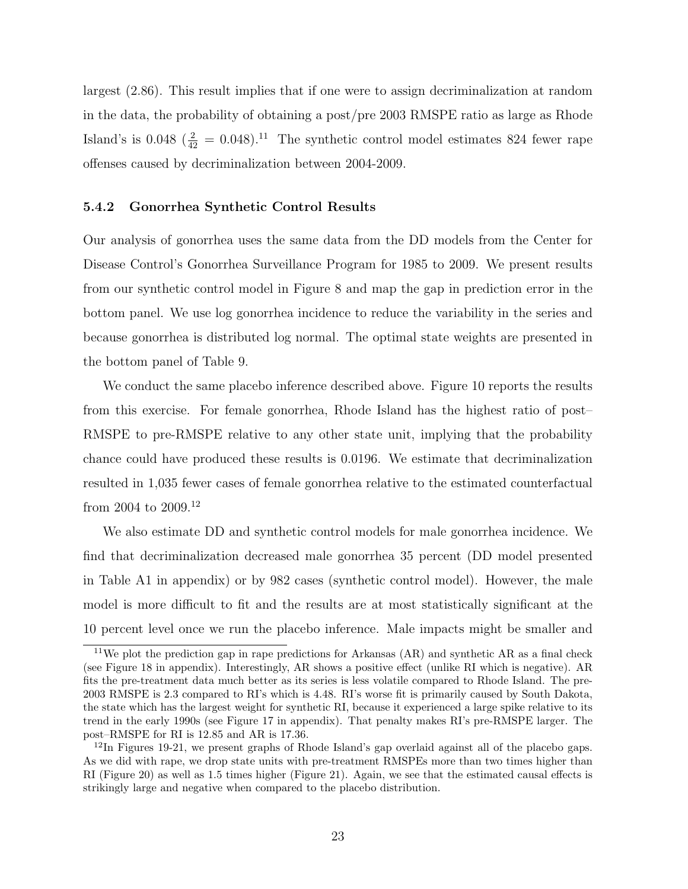largest (2.86). This result implies that if one were to assign decriminalization at random in the data, the probability of obtaining a post/pre 2003 RMSPE ratio as large as Rhode Island's is 0.048 ( $\frac{2}{42}$  = 0.048).<sup>11</sup> The synthetic control model estimates 824 fewer rape offenses caused by decriminalization between 2004-2009.

# 5.4.2 Gonorrhea Synthetic Control Results

Our analysis of gonorrhea uses the same data from the DD models from the Center for Disease Control's Gonorrhea Surveillance Program for 1985 to 2009. We present results from our synthetic control model in Figure 8 and map the gap in prediction error in the bottom panel. We use log gonorrhea incidence to reduce the variability in the series and because gonorrhea is distributed log normal. The optimal state weights are presented in the bottom panel of Table 9.

We conduct the same placebo inference described above. Figure 10 reports the results from this exercise. For female gonorrhea, Rhode Island has the highest ratio of post– RMSPE to pre-RMSPE relative to any other state unit, implying that the probability chance could have produced these results is 0.0196. We estimate that decriminalization resulted in 1,035 fewer cases of female gonorrhea relative to the estimated counterfactual from 2004 to 2009.<sup>12</sup>

We also estimate DD and synthetic control models for male gonorrhea incidence. We find that decriminalization decreased male gonorrhea 35 percent (DD model presented in Table A1 in appendix) or by 982 cases (synthetic control model). However, the male model is more difficult to fit and the results are at most statistically significant at the 10 percent level once we run the placebo inference. Male impacts might be smaller and

<sup>&</sup>lt;sup>11</sup>We plot the prediction gap in rape predictions for Arkansas  $(AR)$  and synthetic AR as a final check (see Figure 18 in appendix). Interestingly, AR shows a positive effect (unlike RI which is negative). AR fits the pre-treatment data much better as its series is less volatile compared to Rhode Island. The pre-2003 RMSPE is 2.3 compared to RI's which is 4.48. RI's worse fit is primarily caused by South Dakota, the state which has the largest weight for synthetic RI, because it experienced a large spike relative to its trend in the early 1990s (see Figure 17 in appendix). That penalty makes RI's pre-RMSPE larger. The post–RMSPE for RI is 12.85 and AR is 17.36.

 $12$ In Figures 19-21, we present graphs of Rhode Island's gap overlaid against all of the placebo gaps. As we did with rape, we drop state units with pre-treatment RMSPEs more than two times higher than RI (Figure 20) as well as 1.5 times higher (Figure 21). Again, we see that the estimated causal effects is strikingly large and negative when compared to the placebo distribution.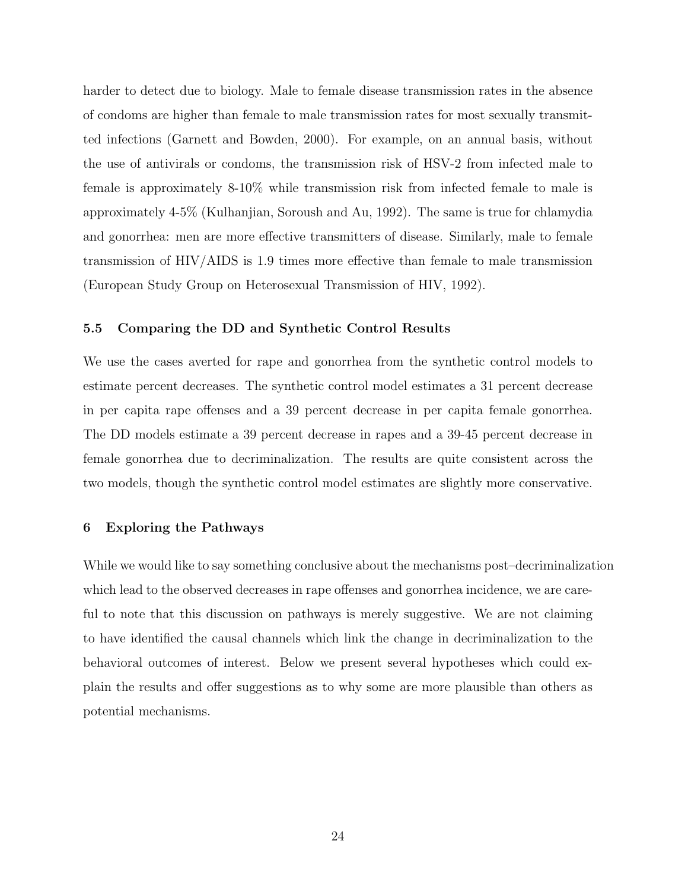harder to detect due to biology. Male to female disease transmission rates in the absence of condoms are higher than female to male transmission rates for most sexually transmitted infections (Garnett and Bowden, 2000). For example, on an annual basis, without the use of antivirals or condoms, the transmission risk of HSV-2 from infected male to female is approximately 8-10% while transmission risk from infected female to male is approximately 4-5% (Kulhanjian, Soroush and Au, 1992). The same is true for chlamydia and gonorrhea: men are more effective transmitters of disease. Similarly, male to female transmission of HIV/AIDS is 1.9 times more effective than female to male transmission (European Study Group on Heterosexual Transmission of HIV, 1992).

## 5.5 Comparing the DD and Synthetic Control Results

We use the cases averted for rape and gonorrhea from the synthetic control models to estimate percent decreases. The synthetic control model estimates a 31 percent decrease in per capita rape offenses and a 39 percent decrease in per capita female gonorrhea. The DD models estimate a 39 percent decrease in rapes and a 39-45 percent decrease in female gonorrhea due to decriminalization. The results are quite consistent across the two models, though the synthetic control model estimates are slightly more conservative.

# 6 Exploring the Pathways

While we would like to say something conclusive about the mechanisms post–decriminalization which lead to the observed decreases in rape offenses and gonorrhea incidence, we are careful to note that this discussion on pathways is merely suggestive. We are not claiming to have identified the causal channels which link the change in decriminalization to the behavioral outcomes of interest. Below we present several hypotheses which could explain the results and offer suggestions as to why some are more plausible than others as potential mechanisms.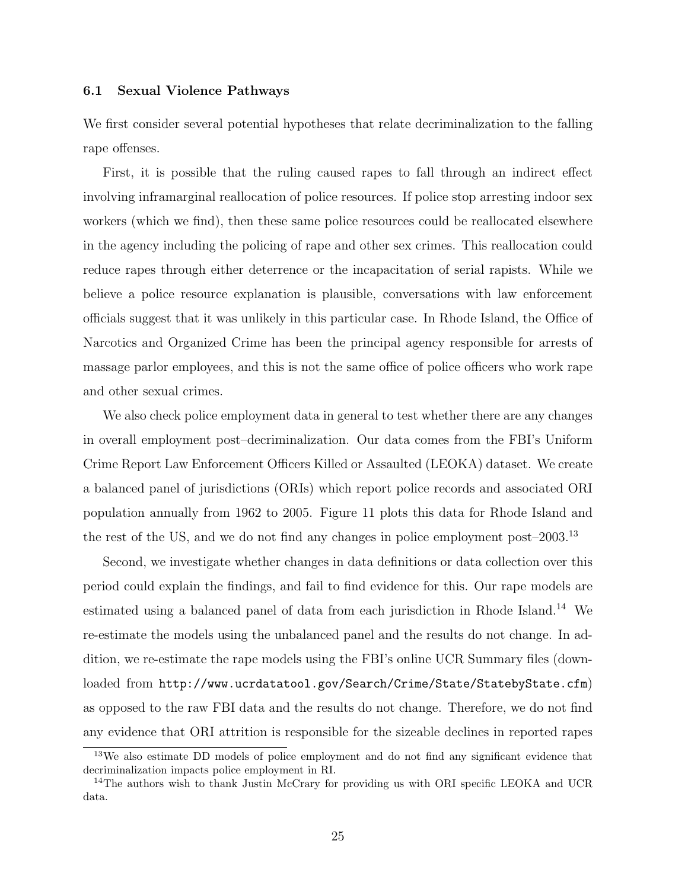#### 6.1 Sexual Violence Pathways

We first consider several potential hypotheses that relate decriminalization to the falling rape offenses.

First, it is possible that the ruling caused rapes to fall through an indirect effect involving inframarginal reallocation of police resources. If police stop arresting indoor sex workers (which we find), then these same police resources could be reallocated elsewhere in the agency including the policing of rape and other sex crimes. This reallocation could reduce rapes through either deterrence or the incapacitation of serial rapists. While we believe a police resource explanation is plausible, conversations with law enforcement officials suggest that it was unlikely in this particular case. In Rhode Island, the Office of Narcotics and Organized Crime has been the principal agency responsible for arrests of massage parlor employees, and this is not the same office of police officers who work rape and other sexual crimes.

We also check police employment data in general to test whether there are any changes in overall employment post–decriminalization. Our data comes from the FBI's Uniform Crime Report Law Enforcement Officers Killed or Assaulted (LEOKA) dataset. We create a balanced panel of jurisdictions (ORIs) which report police records and associated ORI population annually from 1962 to 2005. Figure 11 plots this data for Rhode Island and the rest of the US, and we do not find any changes in police employment post–2003.<sup>13</sup>

Second, we investigate whether changes in data definitions or data collection over this period could explain the findings, and fail to find evidence for this. Our rape models are estimated using a balanced panel of data from each jurisdiction in Rhode Island.<sup>14</sup> We re-estimate the models using the unbalanced panel and the results do not change. In addition, we re-estimate the rape models using the FBI's online UCR Summary files (downloaded from http://www.ucrdatatool.gov/Search/Crime/State/StatebyState.cfm) as opposed to the raw FBI data and the results do not change. Therefore, we do not find any evidence that ORI attrition is responsible for the sizeable declines in reported rapes

<sup>&</sup>lt;sup>13</sup>We also estimate DD models of police employment and do not find any significant evidence that decriminalization impacts police employment in RI.

<sup>&</sup>lt;sup>14</sup>The authors wish to thank Justin McCrary for providing us with ORI specific LEOKA and UCR data.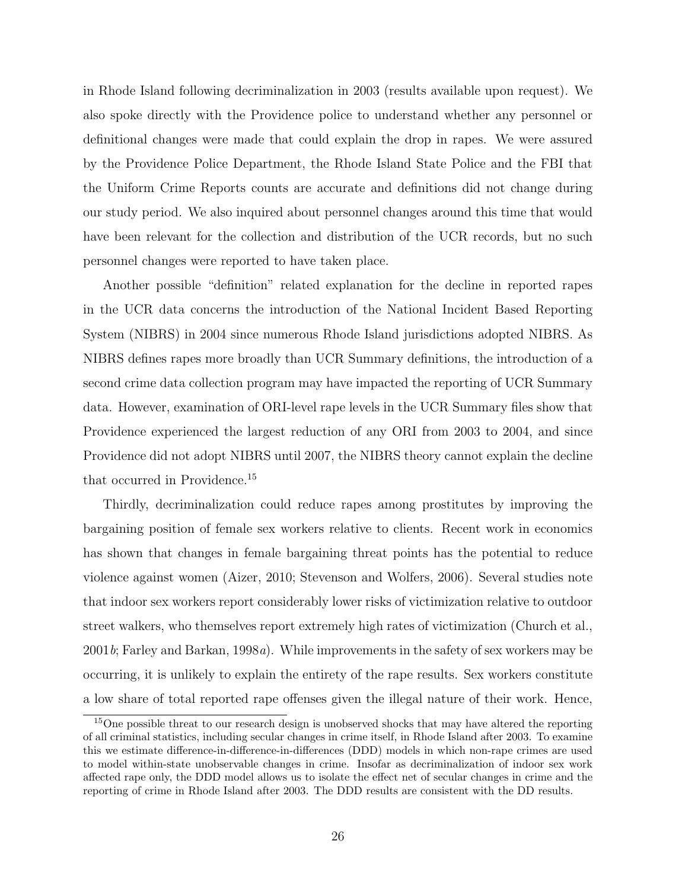in Rhode Island following decriminalization in 2003 (results available upon request). We also spoke directly with the Providence police to understand whether any personnel or definitional changes were made that could explain the drop in rapes. We were assured by the Providence Police Department, the Rhode Island State Police and the FBI that the Uniform Crime Reports counts are accurate and definitions did not change during our study period. We also inquired about personnel changes around this time that would have been relevant for the collection and distribution of the UCR records, but no such personnel changes were reported to have taken place.

Another possible "definition" related explanation for the decline in reported rapes in the UCR data concerns the introduction of the National Incident Based Reporting System (NIBRS) in 2004 since numerous Rhode Island jurisdictions adopted NIBRS. As NIBRS defines rapes more broadly than UCR Summary definitions, the introduction of a second crime data collection program may have impacted the reporting of UCR Summary data. However, examination of ORI-level rape levels in the UCR Summary files show that Providence experienced the largest reduction of any ORI from 2003 to 2004, and since Providence did not adopt NIBRS until 2007, the NIBRS theory cannot explain the decline that occurred in Providence.<sup>15</sup>

Thirdly, decriminalization could reduce rapes among prostitutes by improving the bargaining position of female sex workers relative to clients. Recent work in economics has shown that changes in female bargaining threat points has the potential to reduce violence against women (Aizer, 2010; Stevenson and Wolfers, 2006). Several studies note that indoor sex workers report considerably lower risks of victimization relative to outdoor street walkers, who themselves report extremely high rates of victimization (Church et al.,  $2001b$ ; Farley and Barkan, 1998a). While improvements in the safety of sex workers may be occurring, it is unlikely to explain the entirety of the rape results. Sex workers constitute a low share of total reported rape offenses given the illegal nature of their work. Hence,

<sup>&</sup>lt;sup>15</sup>One possible threat to our research design is unobserved shocks that may have altered the reporting of all criminal statistics, including secular changes in crime itself, in Rhode Island after 2003. To examine this we estimate difference-in-difference-in-differences (DDD) models in which non-rape crimes are used to model within-state unobservable changes in crime. Insofar as decriminalization of indoor sex work affected rape only, the DDD model allows us to isolate the effect net of secular changes in crime and the reporting of crime in Rhode Island after 2003. The DDD results are consistent with the DD results.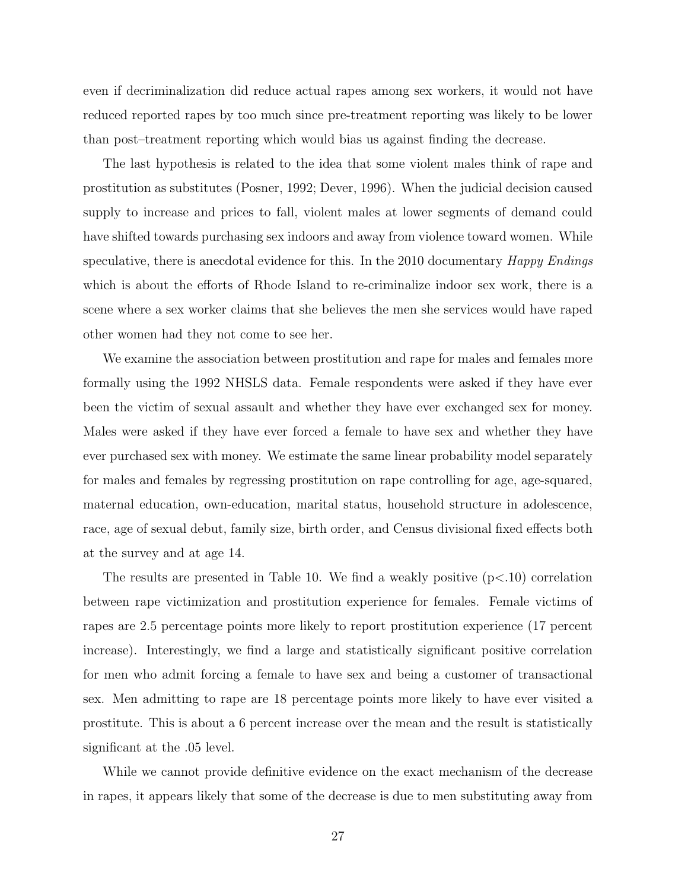even if decriminalization did reduce actual rapes among sex workers, it would not have reduced reported rapes by too much since pre-treatment reporting was likely to be lower than post–treatment reporting which would bias us against finding the decrease.

The last hypothesis is related to the idea that some violent males think of rape and prostitution as substitutes (Posner, 1992; Dever, 1996). When the judicial decision caused supply to increase and prices to fall, violent males at lower segments of demand could have shifted towards purchasing sex indoors and away from violence toward women. While speculative, there is anecdotal evidence for this. In the 2010 documentary *Happy Endings* which is about the efforts of Rhode Island to re-criminalize indoor sex work, there is a scene where a sex worker claims that she believes the men she services would have raped other women had they not come to see her.

We examine the association between prostitution and rape for males and females more formally using the 1992 NHSLS data. Female respondents were asked if they have ever been the victim of sexual assault and whether they have ever exchanged sex for money. Males were asked if they have ever forced a female to have sex and whether they have ever purchased sex with money. We estimate the same linear probability model separately for males and females by regressing prostitution on rape controlling for age, age-squared, maternal education, own-education, marital status, household structure in adolescence, race, age of sexual debut, family size, birth order, and Census divisional fixed effects both at the survey and at age 14.

The results are presented in Table 10. We find a weakly positive  $(p<.10)$  correlation between rape victimization and prostitution experience for females. Female victims of rapes are 2.5 percentage points more likely to report prostitution experience (17 percent increase). Interestingly, we find a large and statistically significant positive correlation for men who admit forcing a female to have sex and being a customer of transactional sex. Men admitting to rape are 18 percentage points more likely to have ever visited a prostitute. This is about a 6 percent increase over the mean and the result is statistically significant at the .05 level.

While we cannot provide definitive evidence on the exact mechanism of the decrease in rapes, it appears likely that some of the decrease is due to men substituting away from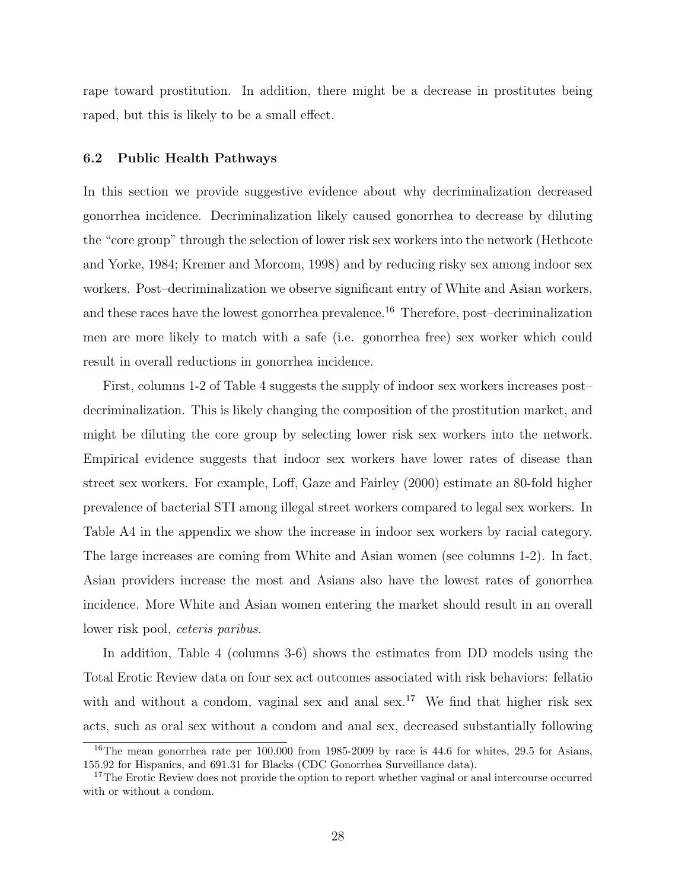rape toward prostitution. In addition, there might be a decrease in prostitutes being raped, but this is likely to be a small effect.

## 6.2 Public Health Pathways

In this section we provide suggestive evidence about why decriminalization decreased gonorrhea incidence. Decriminalization likely caused gonorrhea to decrease by diluting the "core group" through the selection of lower risk sex workers into the network (Hethcote and Yorke, 1984; Kremer and Morcom, 1998) and by reducing risky sex among indoor sex workers. Post–decriminalization we observe significant entry of White and Asian workers, and these races have the lowest gonorrhea prevalence.<sup>16</sup> Therefore, post-decriminalization men are more likely to match with a safe (i.e. gonorrhea free) sex worker which could result in overall reductions in gonorrhea incidence.

First, columns 1-2 of Table 4 suggests the supply of indoor sex workers increases post– decriminalization. This is likely changing the composition of the prostitution market, and might be diluting the core group by selecting lower risk sex workers into the network. Empirical evidence suggests that indoor sex workers have lower rates of disease than street sex workers. For example, Loff, Gaze and Fairley (2000) estimate an 80-fold higher prevalence of bacterial STI among illegal street workers compared to legal sex workers. In Table A4 in the appendix we show the increase in indoor sex workers by racial category. The large increases are coming from White and Asian women (see columns 1-2). In fact, Asian providers increase the most and Asians also have the lowest rates of gonorrhea incidence. More White and Asian women entering the market should result in an overall lower risk pool, ceteris paribus.

In addition, Table 4 (columns 3-6) shows the estimates from DD models using the Total Erotic Review data on four sex act outcomes associated with risk behaviors: fellatio with and without a condom, vaginal sex and anal sex.<sup>17</sup> We find that higher risk sex acts, such as oral sex without a condom and anal sex, decreased substantially following

<sup>&</sup>lt;sup>16</sup>The mean gonorrhea rate per  $100,000$  from 1985-2009 by race is 44.6 for whites, 29.5 for Asians, 155.92 for Hispanics, and 691.31 for Blacks (CDC Gonorrhea Surveillance data).

<sup>&</sup>lt;sup>17</sup>The Erotic Review does not provide the option to report whether vaginal or anal intercourse occurred with or without a condom.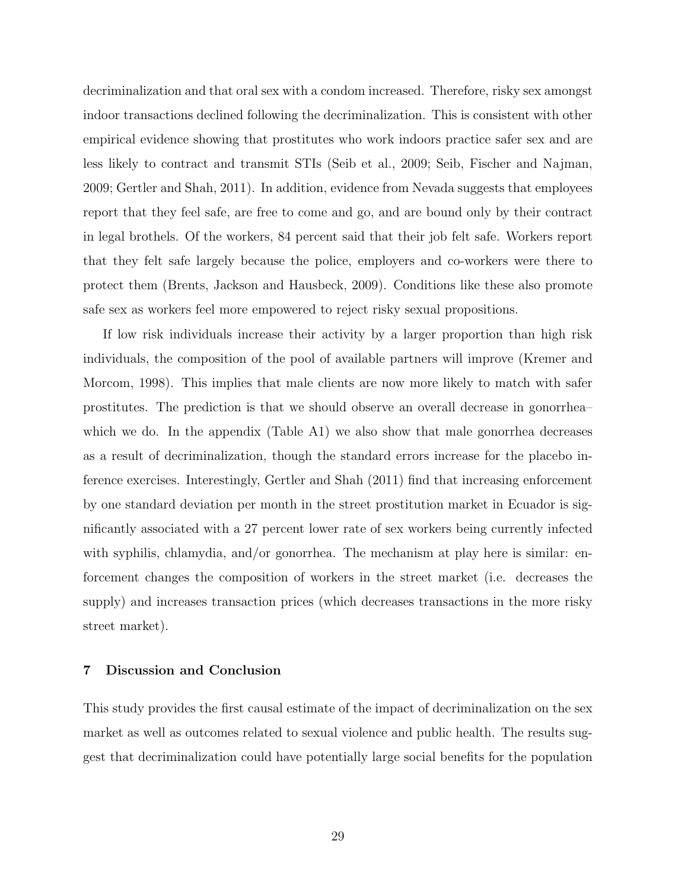decriminalization and that oral sex with a condom increased. Therefore, risky sex amongst indoor transactions declined following the decriminalization. This is consistent with other empirical evidence showing that prostitutes who work indoors practice safer sex and are less likely to contract and transmit STIs (Seib et al., 2009; Seib, Fischer and Najman, 2009; Gertler and Shah, 2011). In addition, evidence from Nevada suggests that employees report that they feel safe, are free to come and go, and are bound only by their contract in legal brothels. Of the workers, 84 percent said that their job felt safe. Workers report that they felt safe largely because the police, employers and co-workers were there to protect them (Brents, Jackson and Hausbeck, 2009). Conditions like these also promote safe sex as workers feel more empowered to reject risky sexual propositions.

If low risk individuals increase their activity by a larger proportion than high risk individuals, the composition of the pool of available partners will improve (Kremer and Morcom, 1998). This implies that male clients are now more likely to match with safer prostitutes. The prediction is that we should observe an overall decrease in gonorrhea– which we do. In the appendix (Table A1) we also show that male gonorrhea decreases as a result of decriminalization, though the standard errors increase for the placebo inference exercises. Interestingly, Gertler and Shah (2011) find that increasing enforcement by one standard deviation per month in the street prostitution market in Ecuador is significantly associated with a 27 percent lower rate of sex workers being currently infected with syphilis, chlamydia, and/or gonorrhea. The mechanism at play here is similar: enforcement changes the composition of workers in the street market (i.e. decreases the supply) and increases transaction prices (which decreases transactions in the more risky street market).

# 7 Discussion and Conclusion

This study provides the first causal estimate of the impact of decriminalization on the sex market as well as outcomes related to sexual violence and public health. The results suggest that decriminalization could have potentially large social benefits for the population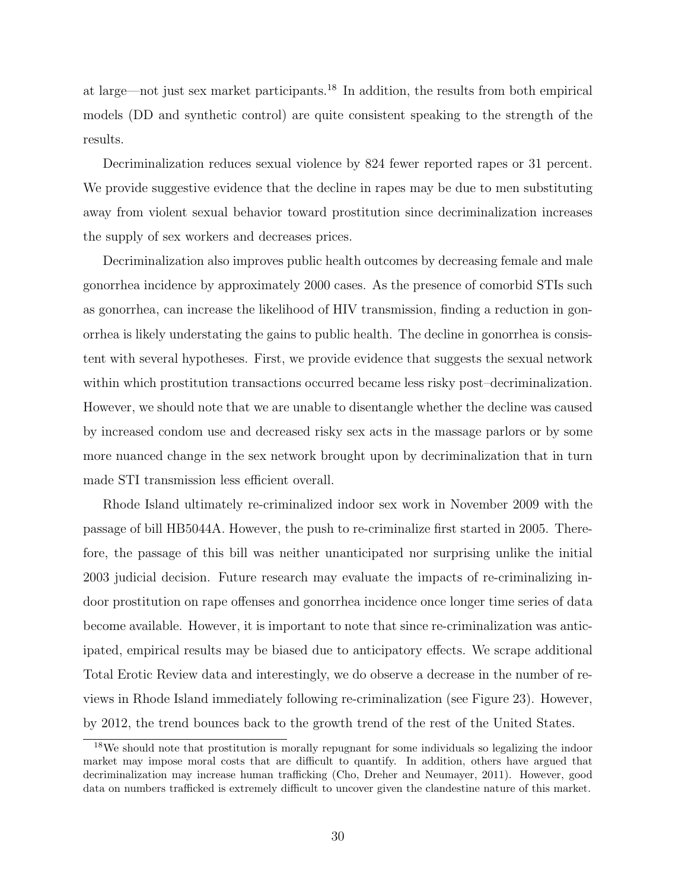at large—not just sex market participants.<sup>18</sup> In addition, the results from both empirical models (DD and synthetic control) are quite consistent speaking to the strength of the results.

Decriminalization reduces sexual violence by 824 fewer reported rapes or 31 percent. We provide suggestive evidence that the decline in rapes may be due to men substituting away from violent sexual behavior toward prostitution since decriminalization increases the supply of sex workers and decreases prices.

Decriminalization also improves public health outcomes by decreasing female and male gonorrhea incidence by approximately 2000 cases. As the presence of comorbid STIs such as gonorrhea, can increase the likelihood of HIV transmission, finding a reduction in gonorrhea is likely understating the gains to public health. The decline in gonorrhea is consistent with several hypotheses. First, we provide evidence that suggests the sexual network within which prostitution transactions occurred became less risky post–decriminalization. However, we should note that we are unable to disentangle whether the decline was caused by increased condom use and decreased risky sex acts in the massage parlors or by some more nuanced change in the sex network brought upon by decriminalization that in turn made STI transmission less efficient overall.

Rhode Island ultimately re-criminalized indoor sex work in November 2009 with the passage of bill HB5044A. However, the push to re-criminalize first started in 2005. Therefore, the passage of this bill was neither unanticipated nor surprising unlike the initial 2003 judicial decision. Future research may evaluate the impacts of re-criminalizing indoor prostitution on rape offenses and gonorrhea incidence once longer time series of data become available. However, it is important to note that since re-criminalization was anticipated, empirical results may be biased due to anticipatory effects. We scrape additional Total Erotic Review data and interestingly, we do observe a decrease in the number of reviews in Rhode Island immediately following re-criminalization (see Figure 23). However, by 2012, the trend bounces back to the growth trend of the rest of the United States.

<sup>&</sup>lt;sup>18</sup>We should note that prostitution is morally repugnant for some individuals so legalizing the indoor market may impose moral costs that are difficult to quantify. In addition, others have argued that decriminalization may increase human trafficking (Cho, Dreher and Neumayer, 2011). However, good data on numbers trafficked is extremely difficult to uncover given the clandestine nature of this market.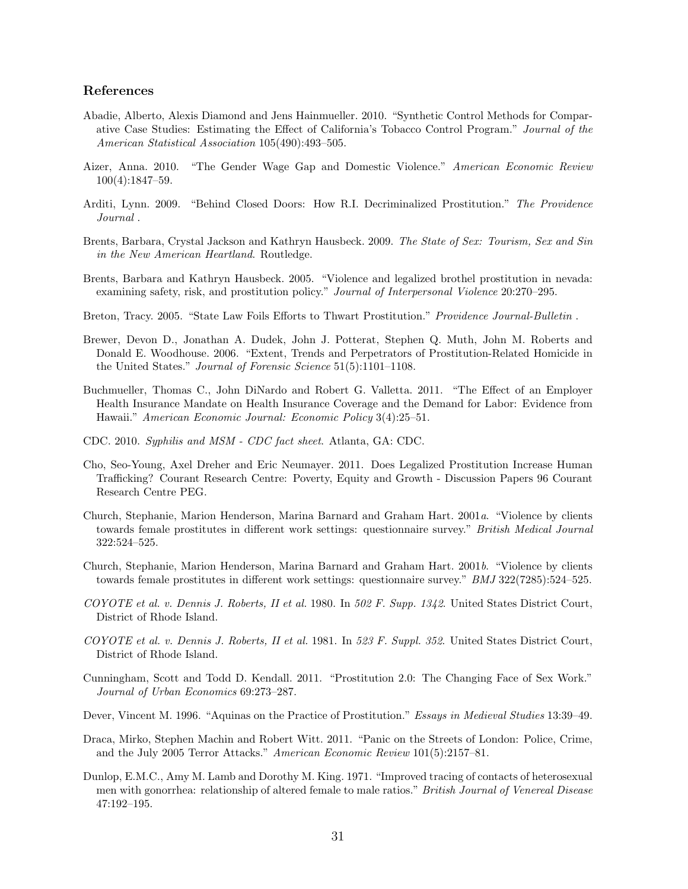#### References

- Abadie, Alberto, Alexis Diamond and Jens Hainmueller. 2010. "Synthetic Control Methods for Comparative Case Studies: Estimating the Effect of California's Tobacco Control Program." Journal of the American Statistical Association 105(490):493–505.
- Aizer, Anna. 2010. "The Gender Wage Gap and Domestic Violence." American Economic Review 100(4):1847–59.
- Arditi, Lynn. 2009. "Behind Closed Doors: How R.I. Decriminalized Prostitution." The Providence Journal .
- Brents, Barbara, Crystal Jackson and Kathryn Hausbeck. 2009. The State of Sex: Tourism, Sex and Sin in the New American Heartland. Routledge.
- Brents, Barbara and Kathryn Hausbeck. 2005. "Violence and legalized brothel prostitution in nevada: examining safety, risk, and prostitution policy." Journal of Interpersonal Violence 20:270–295.
- Breton, Tracy. 2005. "State Law Foils Efforts to Thwart Prostitution." Providence Journal-Bulletin.
- Brewer, Devon D., Jonathan A. Dudek, John J. Potterat, Stephen Q. Muth, John M. Roberts and Donald E. Woodhouse. 2006. "Extent, Trends and Perpetrators of Prostitution-Related Homicide in the United States." Journal of Forensic Science 51(5):1101–1108.
- Buchmueller, Thomas C., John DiNardo and Robert G. Valletta. 2011. "The Effect of an Employer Health Insurance Mandate on Health Insurance Coverage and the Demand for Labor: Evidence from Hawaii." American Economic Journal: Economic Policy 3(4):25–51.
- CDC. 2010. Syphilis and MSM CDC fact sheet. Atlanta, GA: CDC.
- Cho, Seo-Young, Axel Dreher and Eric Neumayer. 2011. Does Legalized Prostitution Increase Human Trafficking? Courant Research Centre: Poverty, Equity and Growth - Discussion Papers 96 Courant Research Centre PEG.
- Church, Stephanie, Marion Henderson, Marina Barnard and Graham Hart. 2001a. "Violence by clients towards female prostitutes in different work settings: questionnaire survey." British Medical Journal 322:524–525.
- Church, Stephanie, Marion Henderson, Marina Barnard and Graham Hart. 2001b. "Violence by clients towards female prostitutes in different work settings: questionnaire survey." BMJ 322(7285):524-525.
- COYOTE et al. v. Dennis J. Roberts, II et al. 1980. In 502 F. Supp. 1342. United States District Court, District of Rhode Island.
- COYOTE et al. v. Dennis J. Roberts, II et al. 1981. In 523 F. Suppl. 352. United States District Court, District of Rhode Island.
- Cunningham, Scott and Todd D. Kendall. 2011. "Prostitution 2.0: The Changing Face of Sex Work." Journal of Urban Economics 69:273–287.
- Dever, Vincent M. 1996. "Aquinas on the Practice of Prostitution." Essays in Medieval Studies 13:39–49.
- Draca, Mirko, Stephen Machin and Robert Witt. 2011. "Panic on the Streets of London: Police, Crime, and the July 2005 Terror Attacks." American Economic Review 101(5):2157–81.
- Dunlop, E.M.C., Amy M. Lamb and Dorothy M. King. 1971. "Improved tracing of contacts of heterosexual men with gonorrhea: relationship of altered female to male ratios." British Journal of Venereal Disease 47:192–195.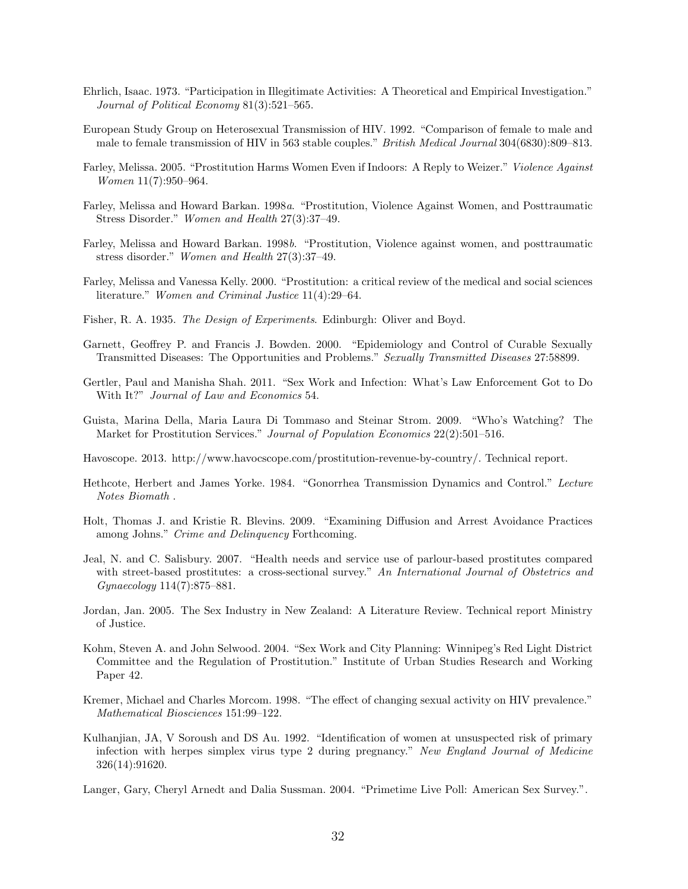- Ehrlich, Isaac. 1973. "Participation in Illegitimate Activities: A Theoretical and Empirical Investigation." Journal of Political Economy 81(3):521–565.
- European Study Group on Heterosexual Transmission of HIV. 1992. "Comparison of female to male and male to female transmission of HIV in 563 stable couples." British Medical Journal 304(6830):809–813.
- Farley, Melissa. 2005. "Prostitution Harms Women Even if Indoors: A Reply to Weizer." Violence Against Women 11(7):950–964.
- Farley, Melissa and Howard Barkan. 1998a. "Prostitution, Violence Against Women, and Posttraumatic Stress Disorder." Women and Health 27(3):37–49.
- Farley, Melissa and Howard Barkan. 1998b. "Prostitution, Violence against women, and posttraumatic stress disorder." Women and Health 27(3):37–49.
- Farley, Melissa and Vanessa Kelly. 2000. "Prostitution: a critical review of the medical and social sciences literature." Women and Criminal Justice 11(4):29–64.
- Fisher, R. A. 1935. The Design of Experiments. Edinburgh: Oliver and Boyd.
- Garnett, Geoffrey P. and Francis J. Bowden. 2000. "Epidemiology and Control of Curable Sexually Transmitted Diseases: The Opportunities and Problems." Sexually Transmitted Diseases 27:58899.
- Gertler, Paul and Manisha Shah. 2011. "Sex Work and Infection: What's Law Enforcement Got to Do With It?" Journal of Law and Economics 54.
- Guista, Marina Della, Maria Laura Di Tommaso and Steinar Strom. 2009. "Who's Watching? The Market for Prostitution Services." Journal of Population Economics 22(2):501–516.
- Havoscope. 2013. http://www.havocscope.com/prostitution-revenue-by-country/. Technical report.
- Hethcote, Herbert and James Yorke. 1984. "Gonorrhea Transmission Dynamics and Control." Lecture Notes Biomath .
- Holt, Thomas J. and Kristie R. Blevins. 2009. "Examining Diffusion and Arrest Avoidance Practices among Johns." Crime and Delinquency Forthcoming.
- Jeal, N. and C. Salisbury. 2007. "Health needs and service use of parlour-based prostitutes compared with street-based prostitutes: a cross-sectional survey." An International Journal of Obstetrics and Gynaecology 114(7):875–881.
- Jordan, Jan. 2005. The Sex Industry in New Zealand: A Literature Review. Technical report Ministry of Justice.
- Kohm, Steven A. and John Selwood. 2004. "Sex Work and City Planning: Winnipeg's Red Light District Committee and the Regulation of Prostitution." Institute of Urban Studies Research and Working Paper 42.
- Kremer, Michael and Charles Morcom. 1998. "The effect of changing sexual activity on HIV prevalence." Mathematical Biosciences 151:99–122.
- Kulhanjian, JA, V Soroush and DS Au. 1992. "Identification of women at unsuspected risk of primary infection with herpes simplex virus type 2 during pregnancy." New England Journal of Medicine 326(14):91620.
- Langer, Gary, Cheryl Arnedt and Dalia Sussman. 2004. "Primetime Live Poll: American Sex Survey.".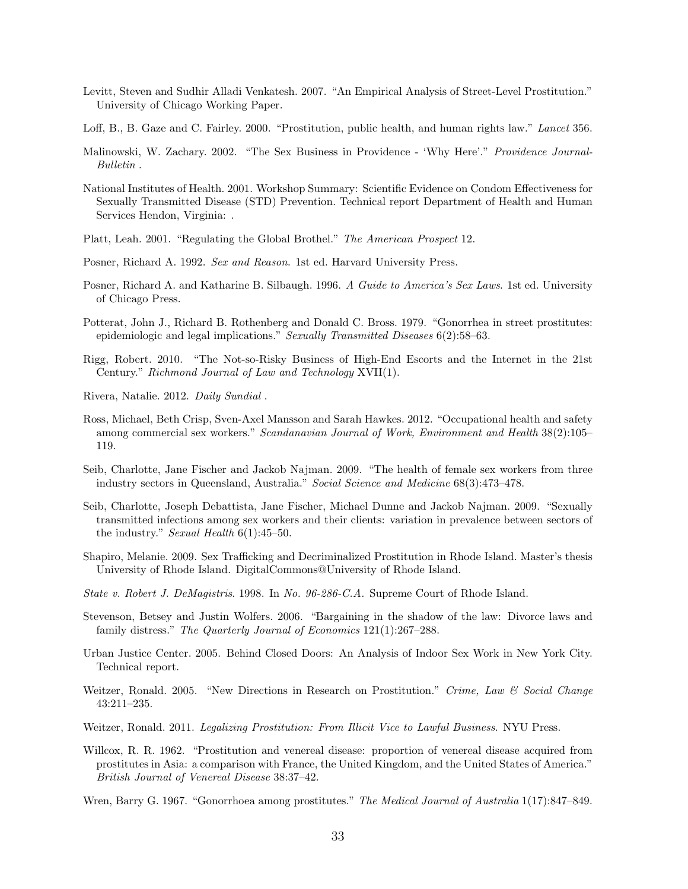- Levitt, Steven and Sudhir Alladi Venkatesh. 2007. "An Empirical Analysis of Street-Level Prostitution." University of Chicago Working Paper.
- Loff, B., B. Gaze and C. Fairley. 2000. "Prostitution, public health, and human rights law." Lancet 356.
- Malinowski, W. Zachary. 2002. "The Sex Business in Providence 'Why Here'." Providence Journal-Bulletin .
- National Institutes of Health. 2001. Workshop Summary: Scientific Evidence on Condom Effectiveness for Sexually Transmitted Disease (STD) Prevention. Technical report Department of Health and Human Services Hendon, Virginia: .
- Platt, Leah. 2001. "Regulating the Global Brothel." The American Prospect 12.
- Posner, Richard A. 1992. Sex and Reason. 1st ed. Harvard University Press.
- Posner, Richard A. and Katharine B. Silbaugh. 1996. A Guide to America's Sex Laws. 1st ed. University of Chicago Press.
- Potterat, John J., Richard B. Rothenberg and Donald C. Bross. 1979. "Gonorrhea in street prostitutes: epidemiologic and legal implications." Sexually Transmitted Diseases 6(2):58–63.
- Rigg, Robert. 2010. "The Not-so-Risky Business of High-End Escorts and the Internet in the 21st Century." Richmond Journal of Law and Technology XVII(1).
- Rivera, Natalie. 2012. Daily Sundial .
- Ross, Michael, Beth Crisp, Sven-Axel Mansson and Sarah Hawkes. 2012. "Occupational health and safety among commercial sex workers." Scandanavian Journal of Work, Environment and Health 38(2):105– 119.
- Seib, Charlotte, Jane Fischer and Jackob Najman. 2009. "The health of female sex workers from three industry sectors in Queensland, Australia." Social Science and Medicine 68(3):473–478.
- Seib, Charlotte, Joseph Debattista, Jane Fischer, Michael Dunne and Jackob Najman. 2009. "Sexually transmitted infections among sex workers and their clients: variation in prevalence between sectors of the industry." Sexual Health  $6(1):45-50$ .
- Shapiro, Melanie. 2009. Sex Trafficking and Decriminalized Prostitution in Rhode Island. Master's thesis University of Rhode Island. DigitalCommons@University of Rhode Island.
- State v. Robert J. DeMagistris. 1998. In No. 96-286-C.A. Supreme Court of Rhode Island.
- Stevenson, Betsey and Justin Wolfers. 2006. "Bargaining in the shadow of the law: Divorce laws and family distress." The Quarterly Journal of Economics 121(1):267–288.
- Urban Justice Center. 2005. Behind Closed Doors: An Analysis of Indoor Sex Work in New York City. Technical report.
- Weitzer, Ronald. 2005. "New Directions in Research on Prostitution." Crime, Law & Social Change 43:211–235.
- Weitzer, Ronald. 2011. Legalizing Prostitution: From Illicit Vice to Lawful Business. NYU Press.
- Willcox, R. R. 1962. "Prostitution and venereal disease: proportion of venereal disease acquired from prostitutes in Asia: a comparison with France, the United Kingdom, and the United States of America." British Journal of Venereal Disease 38:37–42.
- Wren, Barry G. 1967. "Gonorrhoea among prostitutes." The Medical Journal of Australia 1(17):847–849.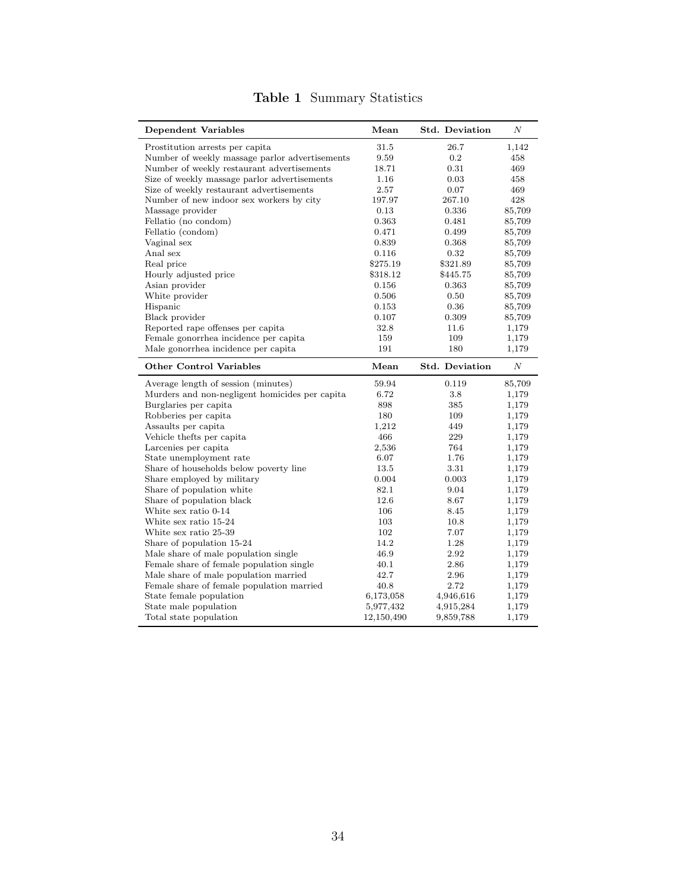| <b>Dependent Variables</b>                     | Mean       | <b>Std. Deviation</b> | Ν      |
|------------------------------------------------|------------|-----------------------|--------|
| Prostitution arrests per capita                | 31.5       | 26.7                  | 1,142  |
| Number of weekly massage parlor advertisements | 9.59       | 0.2                   | 458    |
| Number of weekly restaurant advertisements     | 18.71      | 0.31                  | 469    |
| Size of weekly massage parlor advertisements   | 1.16       | 0.03                  | 458    |
| Size of weekly restaurant advertisements       | 2.57       | 0.07                  | 469    |
| Number of new indoor sex workers by city       | 197.97     | 267.10                | 428    |
| Massage provider                               | 0.13       | 0.336                 | 85,709 |
| Fellatio (no condom)                           | 0.363      | 0.481                 | 85,709 |
| Fellatio (condom)                              | 0.471      | 0.499                 | 85,709 |
| Vaginal sex                                    | 0.839      | 0.368                 | 85,709 |
| Anal sex                                       | 0.116      | 0.32                  | 85,709 |
| Real price                                     | \$275.19   | \$321.89              | 85,709 |
| Hourly adjusted price                          | \$318.12   | \$445.75              | 85,709 |
| Asian provider                                 | 0.156      | 0.363                 | 85,709 |
| White provider                                 | 0.506      | 0.50                  | 85,709 |
| Hispanic                                       | 0.153      | 0.36                  | 85,709 |
| Black provider                                 | 0.107      | 0.309                 | 85,709 |
| Reported rape offenses per capita              | 32.8       | 11.6                  | 1,179  |
| Female gonorrhea incidence per capita          | 159        | 109                   | 1,179  |
| Male gonorrhea incidence per capita            | 191        | 180                   | 1,179  |
| <b>Other Control Variables</b>                 | Mean       | <b>Std. Deviation</b> | N      |
| Average length of session (minutes)            | 59.94      | 0.119                 | 85,709 |
| Murders and non-negligent homicides per capita | 6.72       | 3.8                   | 1,179  |
| Burglaries per capita                          | 898        | 385                   | 1,179  |
| Robberies per capita                           | 180        | 109                   | 1,179  |
| Assaults per capita                            | 1,212      | 449                   | 1,179  |
| Vehicle thefts per capita                      | 466        | 229                   | 1,179  |
| Larcenies per capita                           | 2,536      | 764                   | 1,179  |
| State unemployment rate                        | 6.07       | 1.76                  | 1,179  |
| Share of households below poverty line         | 13.5       | 3.31                  | 1,179  |
| Share employed by military                     | 0.004      | 0.003                 | 1,179  |
| Share of population white                      | 82.1       | 9.04                  | 1,179  |
| Share of population black                      | 12.6       | 8.67                  | 1,179  |
| White sex ratio 0-14                           | 106        | 8.45                  | 1,179  |
| White sex ratio 15-24                          | 103        | 10.8                  | 1,179  |
| White sex ratio 25-39                          | 102        | 7.07                  | 1,179  |
| Share of population 15-24                      | 14.2       | 1.28                  | 1,179  |
| Male share of male population single           | 46.9       | 2.92                  | 1,179  |
| Female share of female population single       | 40.1       | 2.86                  | 1,179  |
| Male share of male population married          | 42.7       | 2.96                  | 1,179  |
| Female share of female population married      | 40.8       | 2.72                  | 1,179  |
| State female population                        | 6,173,058  | 4,946,616             | 1,179  |
| State male population                          | 5,977,432  | 4,915,284             | 1,179  |
| Total state population                         | 12,150,490 | 9,859,788             | 1,179  |

# Table 1 Summary Statistics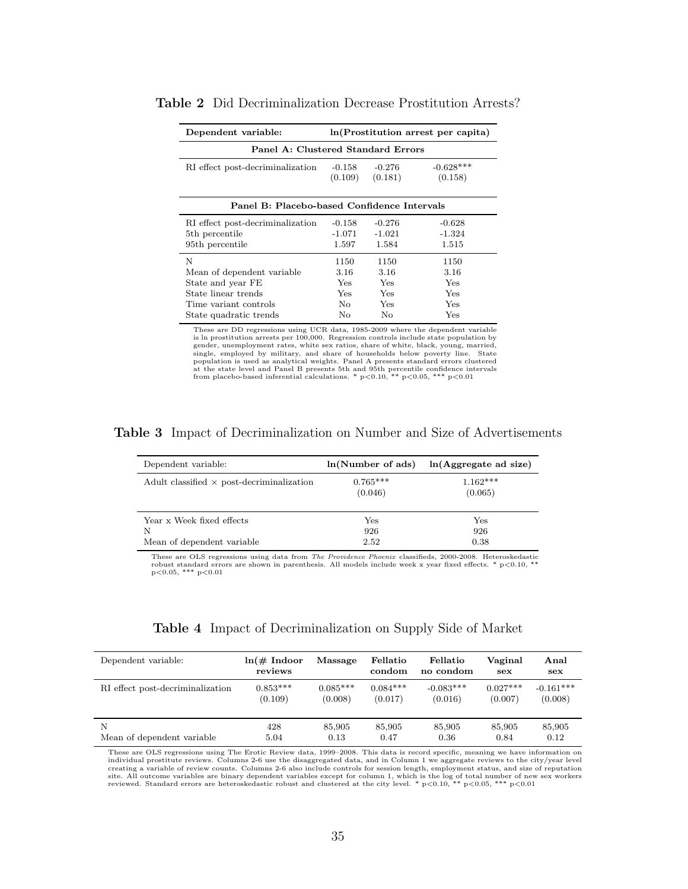| Dependent variable:                         | ln(Prostitution arrest per capita) |            |             |  |  |
|---------------------------------------------|------------------------------------|------------|-------------|--|--|
| Panel A: Clustered Standard Errors          |                                    |            |             |  |  |
| RI effect post-decriminalization            | $-0.158$                           | $-0.276$   | $-0.628***$ |  |  |
|                                             | (0.109)                            | (0.181)    | (0.158)     |  |  |
| Panel B: Placebo-based Confidence Intervals |                                    |            |             |  |  |
| RI effect post-decriminalization            | $-0.158$                           | $-0.276$   | $-0.628$    |  |  |
| 5 <sup>th</sup> percentile                  | $-1.071$                           | $-1.021$   | $-1.324$    |  |  |
| 95th percentile                             | 1.597                              | 1.584      | 1.515       |  |  |
| N                                           | 1150                               | 1150       | 1150        |  |  |
| Mean of dependent variable                  | 3.16                               | 3.16       | 3.16        |  |  |
| State and year FE                           | Yes.                               | <b>Yes</b> | Yes         |  |  |
| State linear trends                         | Yes                                | Yes        | Yes         |  |  |
| Time variant controls                       | No.                                | Yes        | Yes         |  |  |
| State quadratic trends                      | No                                 | No         | Yes         |  |  |

Table 2 Did Decriminalization Decrease Prostitution Arrests?

These are DD regressions using UCR data, 1985-2009 where the dependent variable is ln prostitution arrests per 100,000. Regression controls include state population by gender, unemployment rates, white sex ratios, share of white, black, young, married, single, employed by military, and share of households below poverty line. State population is used as analytical weights. Panel A presents standard errors clustered at the state level and Panel B presents 5th and 95th percentile confidence intervals<br>from placebo-based inferential calculations. \*  $p<0.10$ , \*\*  $p<0.05$ , \*\*\*  $p<0.01$ 

Table 3 Impact of Decriminalization on Number and Size of Advertisements

| Dependent variable:                                          | ln(Number of ads)           | ln(Aggregate ad size)       |
|--------------------------------------------------------------|-----------------------------|-----------------------------|
| Adult classified $\times$ post-decriminalization             | $0.765***$<br>(0.046)       | $1.162***$<br>(0.065)       |
| Year x Week fixed effects<br>N<br>Mean of dependent variable | $_{\rm Yes}$<br>926<br>2.52 | $_{\rm Yes}$<br>926<br>0.38 |

These are OLS regressions using data from The Providence Phoenix classifieds, 2000-2008. Heteroskedastic robust standard errors are shown in parenthesis. All models include week x year fixed effects. \* p<0.10, \*\* p<0.05, \*\*\* p<0.01

| Dependent variable:              | $ln(\text{\# Index}$<br>reviews | Massage    | Fellatio<br>condom | Fellatio<br>no condom | Vaginal<br>sex | Anal<br>sex |
|----------------------------------|---------------------------------|------------|--------------------|-----------------------|----------------|-------------|
| RI effect post-decriminalization | $0.853***$                      | $0.085***$ | $0.084***$         | $-0.083***$           | $0.027***$     | $-0.161***$ |
|                                  | (0.109)                         | (0.008)    | (0.017)            | (0.016)               | (0.007)        | (0.008)     |
| N                                | 428                             | 85,905     | 85,905             | 85,905                | 85,905         | 85,905      |
| Mean of dependent variable       | 5.04                            | 0.13       | 0.47               | 0.36                  | 0.84           | 0.12        |

These are OLS regressions using The Erotic Review data, 1999–2008. This data is record specific, meaning we have information on individual prostitute reviews. Columns 2-6 use the disaggregated data, and in Column 1 we aggregate reviews to the city/year level<br>creating a variable of review counts. Columns 2-6 also include controls for session length, site. All outcome variables are binary dependent variables except for column 1, which is the log of total number of new sex workers<br>reviewed. Standard errors are heteroskedastic robust and clustered at the city level. \* p<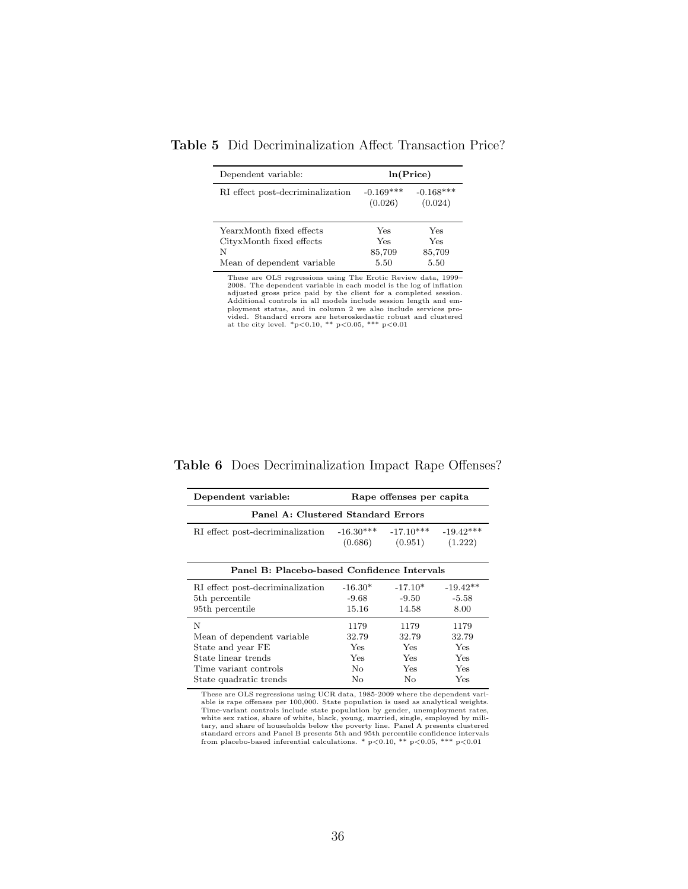| Dependent variable:              | ln(Price)              |                        |  |
|----------------------------------|------------------------|------------------------|--|
| RI effect post-decriminalization | $-0.169***$<br>(0.026) | $-0.168***$<br>(0.024) |  |
| YearxMonth fixed effects         | Yes                    | <b>Yes</b>             |  |
| CityxMonth fixed effects         | Yes                    | Yes                    |  |
| N                                | 85,709                 | 85,709                 |  |
| Mean of dependent variable       | 5.50                   | 5.50                   |  |

Table 5 Did Decriminalization Affect Transaction Price?

These are OLS regressions using The Erotic Review data, 1999–2008. The dependent variable in each model is the log of inflation adjusted gross price paid by the client for a completed session. Additional controls in all m

| Dependent variable: | Rape offenses per capita |
|---------------------|--------------------------|

Table 6 Does Decriminalization Impact Rape Offenses?

| bependent variable.                         |             | rtape onemses per capital |             |  |  |
|---------------------------------------------|-------------|---------------------------|-------------|--|--|
| Panel A: Clustered Standard Errors          |             |                           |             |  |  |
| RI effect post-decriminalization            | $-16.30***$ | $-17.10***$               | $-19.42***$ |  |  |
|                                             | (0.686)     | (0.951)                   | (1.222)     |  |  |
| Panel B: Placebo-based Confidence Intervals |             |                           |             |  |  |
| RI effect post-decriminalization            | $-16.30*$   | $-17.10*$                 | $-19.42**$  |  |  |
| 5 <sup>th</sup> percentile                  | $-9.68$     | $-9.50$                   | $-5.58$     |  |  |
| 95 <sup>th</sup> percentile                 | 15.16       | 14.58                     | 8.00        |  |  |
| N                                           | 1179        | 1179                      | 1179        |  |  |
| Mean of dependent variable                  | 32.79       | 32.79                     | 32.79       |  |  |
| State and year FE                           | Yes         | <b>Yes</b>                | Yes         |  |  |
| State linear trends                         | Yes         | Yes                       | Yes         |  |  |
| Time variant controls                       | No.         | <b>Yes</b>                | Yes         |  |  |
| State quadratic trends                      | No          | No                        | Yes         |  |  |

These are OLS regressions using UCR data, 1985-2009 where the dependent vari-<br>able is rape offenses per 100,000. State population is used as analytical weights.<br>Time-variant controls include state population by gender, un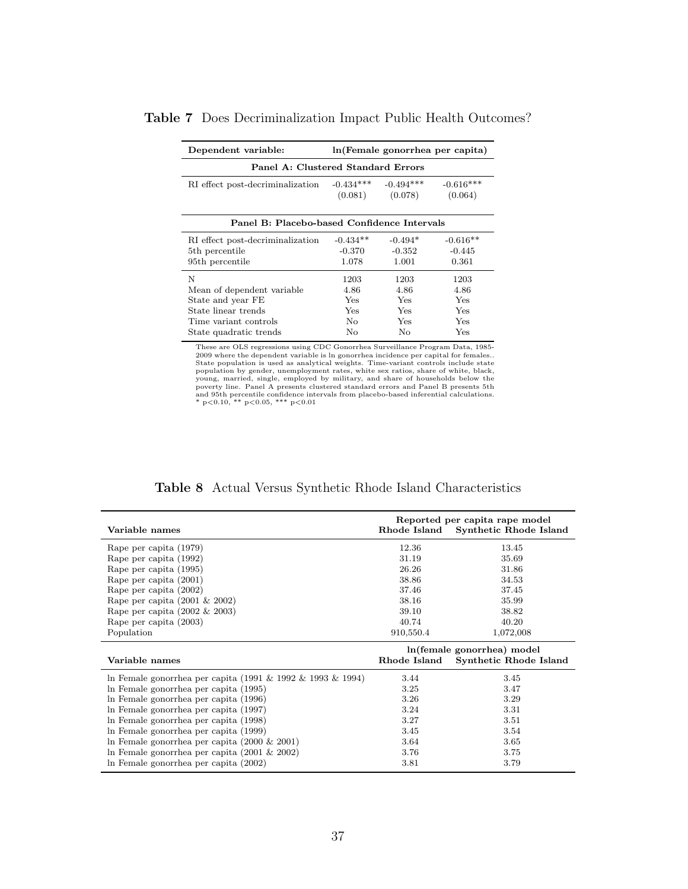| Dependent variable:                         | ln (Female gonorrhea per capita) |             |             |  |  |
|---------------------------------------------|----------------------------------|-------------|-------------|--|--|
| Panel A: Clustered Standard Errors          |                                  |             |             |  |  |
| RI effect post-decriminalization            | $-0.434***$                      | $-0.494***$ | $-0.616***$ |  |  |
|                                             | (0.081)                          | (0.078)     | (0.064)     |  |  |
| Panel B: Placebo-based Confidence Intervals |                                  |             |             |  |  |
| RI effect post-decriminalization            | $-0.434**$                       | $-0.494*$   | $-0.616**$  |  |  |
| 5 <sup>th</sup> percentile                  | -0.370                           | $-0.352$    | $-0.445$    |  |  |
| 95 <sup>th</sup> percentile                 | 1.078                            | 1.001       | 0.361       |  |  |
| N                                           | 1203                             | 1203        | 1203        |  |  |
| Mean of dependent variable                  | 4.86                             | 4.86        | 4.86        |  |  |
| State and year FE                           | <b>Yes</b>                       | Yes.        | Yes         |  |  |
| State linear trends                         | Yes.                             | <b>Yes</b>  | <b>Yes</b>  |  |  |
| Time variant controls                       | No.                              | Yes.        | Yes         |  |  |
| State quadratic trends                      | No                               | No          | Yes         |  |  |

Table 7 Does Decriminalization Impact Public Health Outcomes?

These are OLS regressions using CDC Gonorrhea Surveillance Program Data, 1985-2009 where the dependent variable is ln gonorrhea incidence per capital for femals.<br>State population is used as analytical weights. Time-varian

|  |  |  | <b>Table 8</b> Actual Versus Synthetic Rhode Island Characteristics |
|--|--|--|---------------------------------------------------------------------|
|  |  |  |                                                                     |

|                                                            | Reported per capita rape model |                            |  |  |
|------------------------------------------------------------|--------------------------------|----------------------------|--|--|
| Variable names                                             | Rhode Island                   | Synthetic Rhode Island     |  |  |
| Rape per capita (1979)                                     | 12.36                          | 13.45                      |  |  |
| Rape per capita (1992)                                     | 31.19                          | 35.69                      |  |  |
| Rape per capita (1995)                                     | 26.26                          | 31.86                      |  |  |
| Rape per capita (2001)                                     | 38.86                          | 34.53                      |  |  |
| Rape per capita (2002)                                     | 37.46                          | 37.45                      |  |  |
| Rape per capita $(2001 \& 2002)$                           | 38.16                          | 35.99                      |  |  |
| Rape per capita $(2002 \& 2003)$                           | 39.10                          | 38.82                      |  |  |
| Rape per capita (2003)                                     | 40.74                          | 40.20                      |  |  |
| Population                                                 | 910,550.4                      | 1,072,008                  |  |  |
|                                                            |                                |                            |  |  |
|                                                            |                                | ln(female gonorrhea) model |  |  |
| Variable names                                             | Rhode Island                   | Synthetic Rhode Island     |  |  |
| In Female gonorrhea per capita (1991 & 1992 & 1993 & 1994) | 3.44                           | 3.45                       |  |  |
| In Female gonorrhea per capita (1995)                      | 3.25                           | 3.47                       |  |  |
| In Female gonorrhea per capita (1996)                      | 3.26                           | 3.29                       |  |  |
| In Female gonorrhea per capita (1997)                      | 3.24                           | 3.31                       |  |  |
| In Female gonorrhea per capita (1998)                      | 3.27                           | 3.51                       |  |  |
| In Female gonorrhea per capita (1999)                      | 3.45                           | 3.54                       |  |  |
| In Female gonorrhea per capita $(2000 \& 2001)$            | 3.64                           | 3.65                       |  |  |
| In Female gonorrhea per capita $(2001 \& 2002)$            | 3.76                           | 3.75                       |  |  |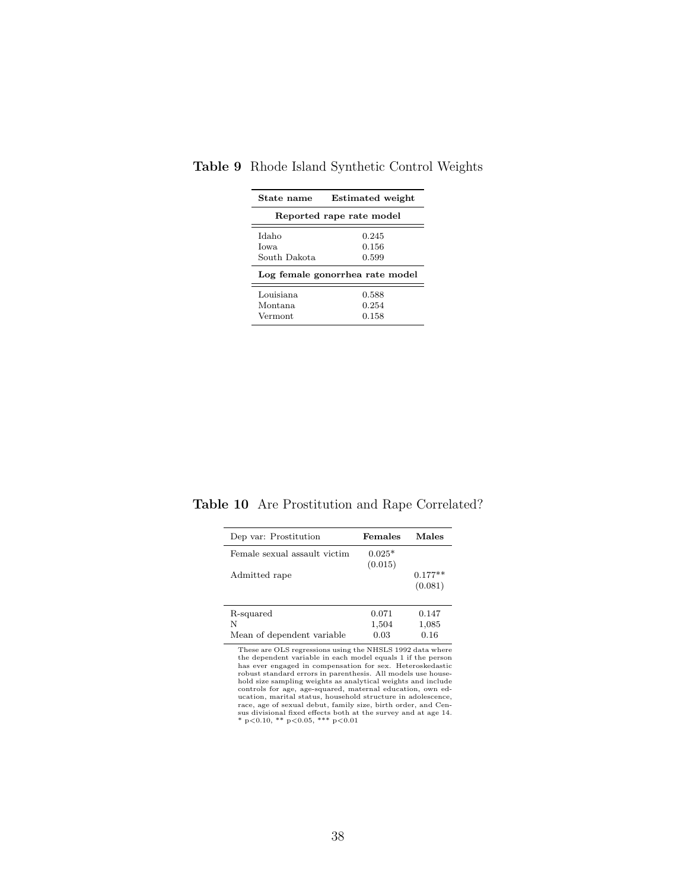| State name                      | <b>Estimated</b> weight         |
|---------------------------------|---------------------------------|
|                                 | Reported rape rate model        |
| Idaho<br>Iowa.<br>South Dakota  | 0.245<br>0.156<br>0.599         |
|                                 | Log female gonorrhea rate model |
| Louisiana<br>Montana<br>Vermont | 0.588<br>0.254<br>0.158         |

# Table 9 Rhode Island Synthetic Control Weights

Table 10 Are Prostitution and Rape Correlated?

| Dep var: Prostitution        | Females             | Males                |
|------------------------------|---------------------|----------------------|
| Female sexual assault victim | $0.025*$<br>(0.015) |                      |
| Admitted rape                |                     | $0.177**$<br>(0.081) |
| R-squared                    | 0.071               | 0.147                |
| N                            | 1,504               | 1,085                |
| Mean of dependent variable   | 0.03                | 0.16                 |

These are OLS regressions using the NHSLS 1992 data where<br>the dependent variable in each model equals 1 if the person<br>has ever engaged in compensation for sex. Heteroskedastic<br>robust standard errors in parenthesis. All mo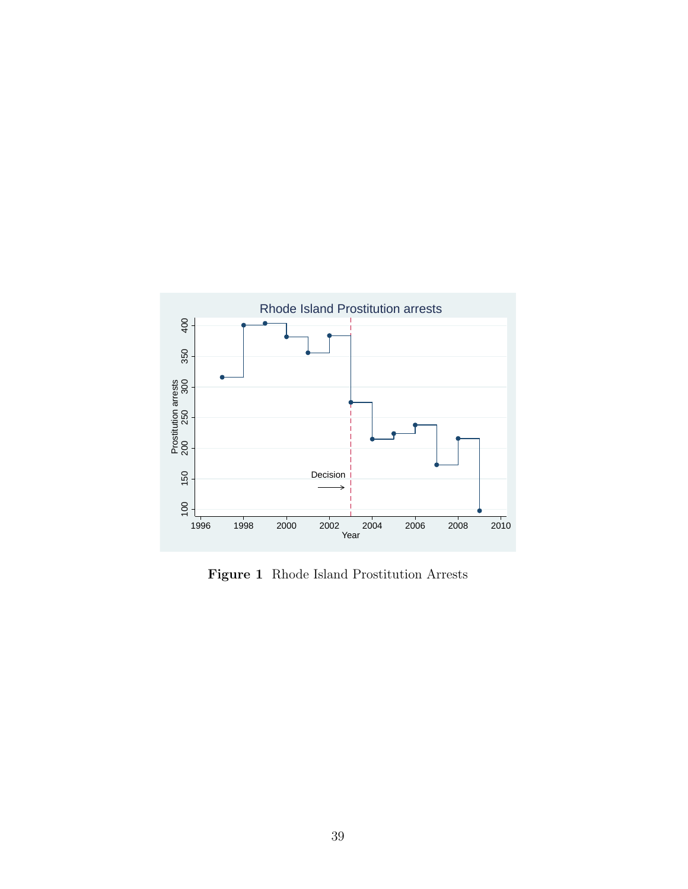

Figure 1 Rhode Island Prostitution Arrests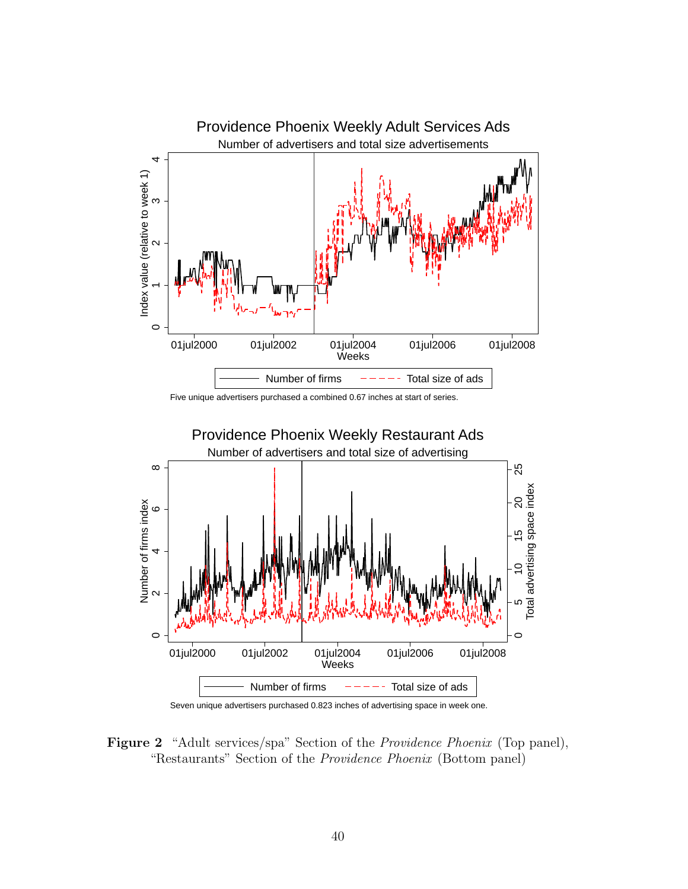

Five unique advertisers purchased a combined 0.67 inches at start of series.





Figure 2 "Adult services/spa" Section of the *Providence Phoenix* (Top panel), "Restaurants" Section of the Providence Phoenix (Bottom panel)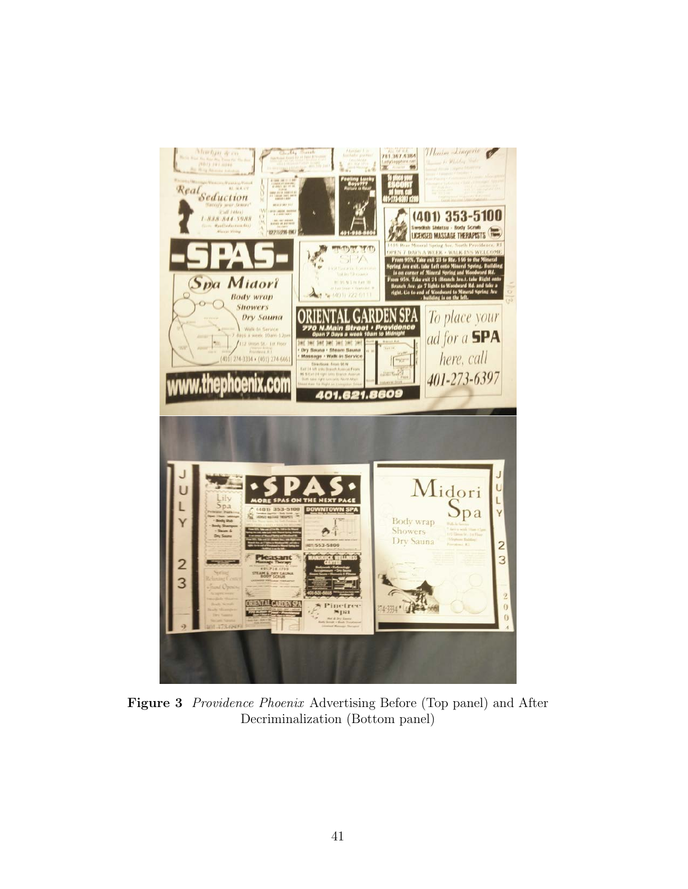

Figure 3 Providence Phoenix Advertising Before (Top panel) and After Decriminalization (Bottom panel)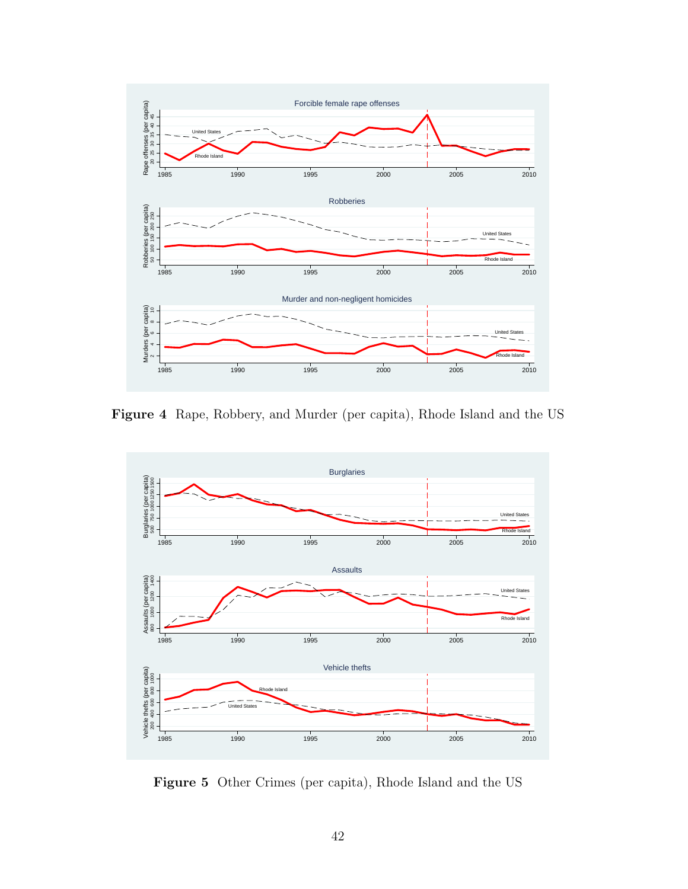

Figure 4 Rape, Robbery, and Murder (per capita), Rhode Island and the US



Figure 5 Other Crimes (per capita), Rhode Island and the US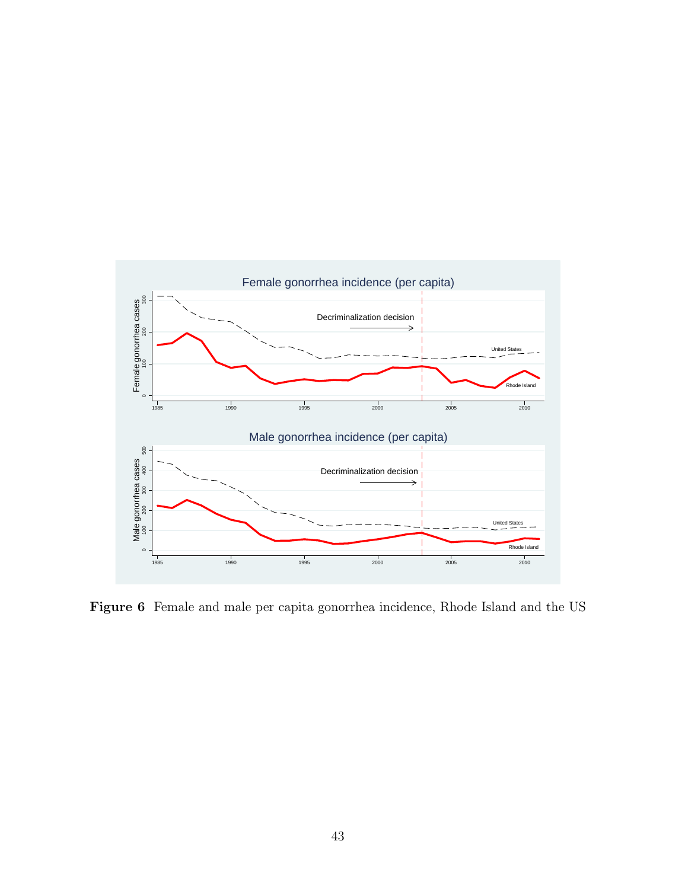

Figure 6 Female and male per capita gonorrhea incidence, Rhode Island and the US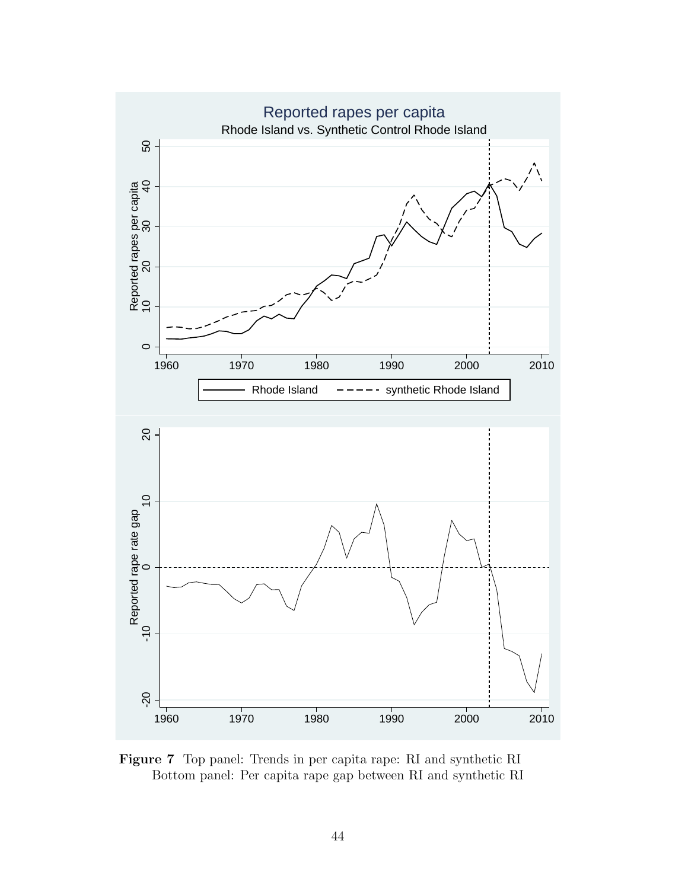

Figure 7 Top panel: Trends in per capita rape: RI and synthetic RI Bottom panel: Per capita rape gap between RI and synthetic RI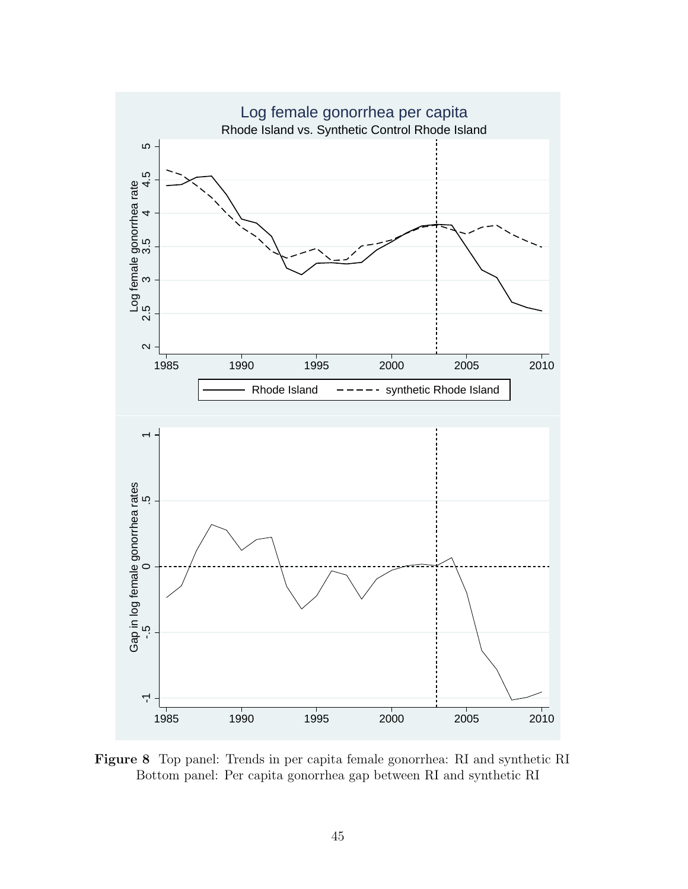

Figure 8 Top panel: Trends in per capita female gonorrhea: RI and synthetic RI Bottom panel: Per capita gonorrhea gap between RI and synthetic RI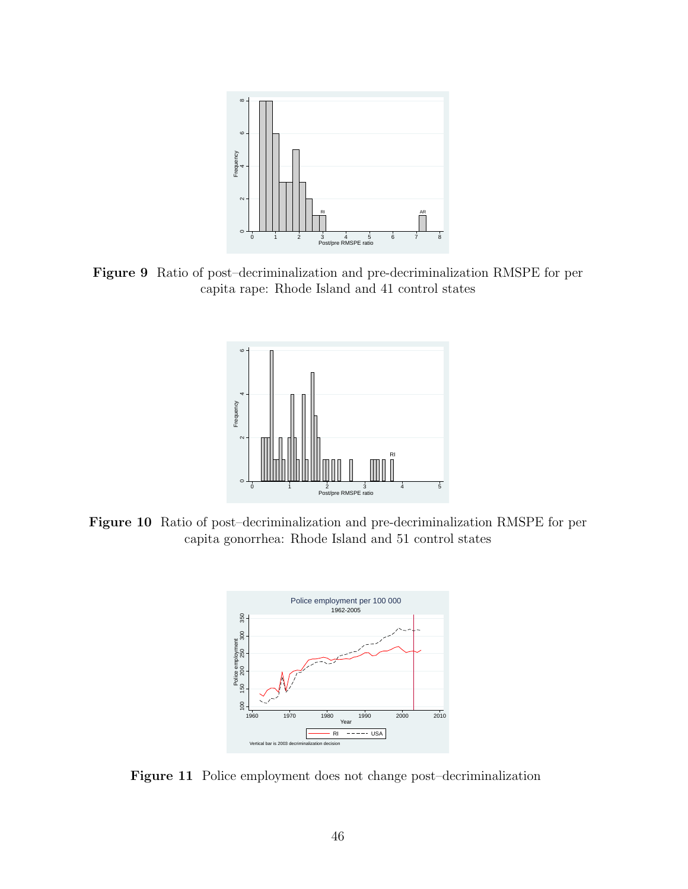

Figure 9 Ratio of post–decriminalization and pre-decriminalization RMSPE for per capita rape: Rhode Island and 41 control states



Figure 10 Ratio of post–decriminalization and pre-decriminalization RMSPE for per capita gonorrhea: Rhode Island and 51 control states



Figure 11 Police employment does not change post–decriminalization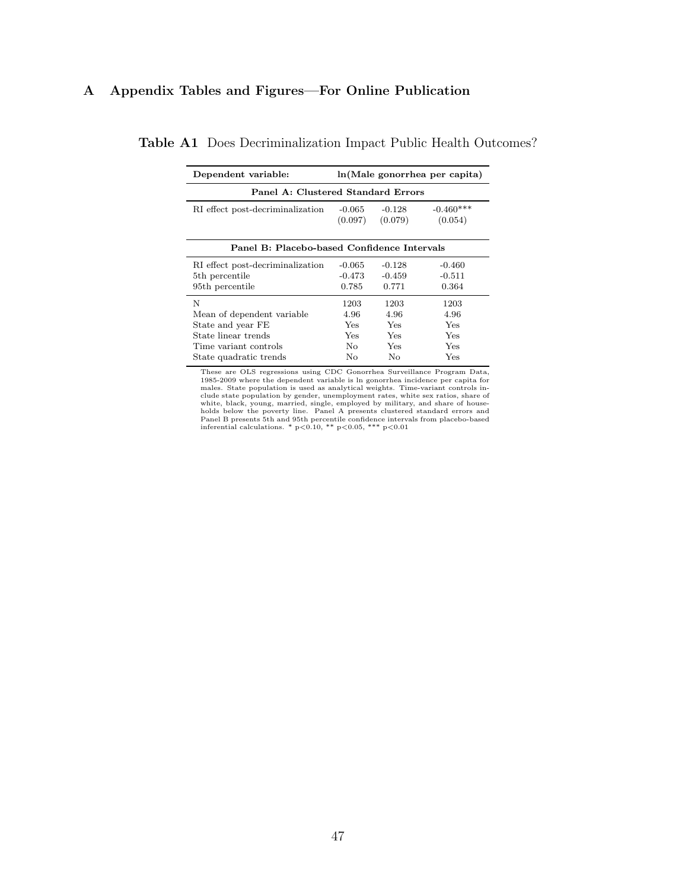# A Appendix Tables and Figures—For Online Publication

| Dependent variable:                                                                                  | ln(Male gonorrhea per capita)            |                                   |                                          |  |  |  |
|------------------------------------------------------------------------------------------------------|------------------------------------------|-----------------------------------|------------------------------------------|--|--|--|
| Panel A: Clustered Standard Errors                                                                   |                                          |                                   |                                          |  |  |  |
| RI effect post-decriminalization                                                                     | $-0.065$<br>(0.097)                      | $-0.128$<br>(0.079)               | $-0.460***$<br>(0.054)                   |  |  |  |
| Panel B: Placebo-based Confidence Intervals                                                          |                                          |                                   |                                          |  |  |  |
| RI effect post-decriminalization<br>5 <sup>th</sup> percentile<br>95th percentile                    | $-0.065$<br>$-0.473$<br>0.785            | $-0.128$<br>$-0.459$<br>0.771     | $-0.460$<br>$-0.511$<br>0.364            |  |  |  |
| N<br>Mean of dependent variable<br>State and year FE<br>State linear trends<br>Time variant controls | 1203<br>4.96<br>Yes<br><b>Yes</b><br>No. | 1203<br>4.96<br>Yes<br>Yes<br>Yes | 1203<br>4.96<br><b>Yes</b><br>Yes<br>Yes |  |  |  |
| State quadratic trends                                                                               | No                                       | No                                | Yes                                      |  |  |  |

Table A1 Does Decriminalization Impact Public Health Outcomes?

These are OLS regressions using CDC Gonorrhea Surveillance Program Data,<br>1985-2009 where the dependent variable is In gonorrhea incidence per capita for<br>males. State population is used as analytical weights. Time-variant c clude state population by gender, unemployment rates, white sex ratios, share of white, black, young, married, single, employed by military, and share of house-holds below the poverty line. Panel A presents clustered stan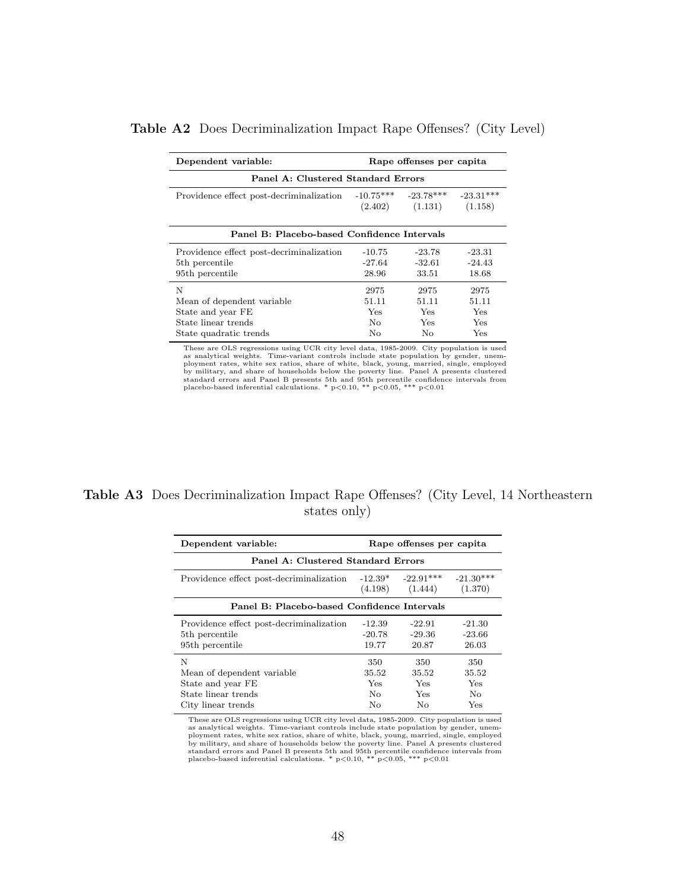| Dependent variable:<br>Rape offenses per capita                                                       |                                          |                                          |                                    |  |  |  |
|-------------------------------------------------------------------------------------------------------|------------------------------------------|------------------------------------------|------------------------------------|--|--|--|
| Panel A: Clustered Standard Errors                                                                    |                                          |                                          |                                    |  |  |  |
| Providence effect post-decriminalization                                                              | $-10.75***$                              | $-23.78***$<br>$(2.402)$ $(1.131)$       | $-23.31***$<br>(1.158)             |  |  |  |
| Panel B: Placebo-based Confidence Intervals                                                           |                                          |                                          |                                    |  |  |  |
| Providence effect post-decriminalization<br>5 <sup>th</sup> percentile<br>95 <sup>th</sup> percentile | $-10.75$<br>$-27.64$<br>28.96            | $-23.78$<br>$-32.61$<br>33.51            | $-23.31$<br>$-24.43$<br>18.68      |  |  |  |
| N<br>Mean of dependent variable<br>State and year FE<br>State linear trends<br>State quadratic trends | 2975<br>51.11<br><b>Yes</b><br>No.<br>No | 2975<br>51.11<br>Yes<br><b>Yes</b><br>No | 2975<br>51.11<br>Yes<br>Yes<br>Yes |  |  |  |

# Table A2 Does Decriminalization Impact Rape Offenses? (City Level)

These are OLS regressions using UCR city level data, 1985-2009. City population is used as analytical weights. Time-variant controls include state population by gender, unemployment rates, white sex ratios, share of white, black, young, married, single, employed<br>by military, and share of households below the poverty line. Panel A presents clustered<br>standard errors and Panel B presents 5th an

# Table A3 Does Decriminalization Impact Rape Offenses? (City Level, 14 Northeastern states only)

| Dependent variable:<br>Rape offenses per capita |           |             |             |  |  |  |  |
|-------------------------------------------------|-----------|-------------|-------------|--|--|--|--|
| Panel A: Clustered Standard Errors              |           |             |             |  |  |  |  |
| Providence effect post-decriminalization        | $-12.39*$ | $-22.91***$ | $-21.30***$ |  |  |  |  |
|                                                 | (4.198)   | (1.444)     | (1.370)     |  |  |  |  |
| Panel B: Placebo-based Confidence Intervals     |           |             |             |  |  |  |  |
| Providence effect post-decriminalization        | $-12.39$  | $-22.91$    | $-21.30$    |  |  |  |  |
| 5 <sup>th</sup> percentile                      | $-20.78$  | $-29.36$    | $-23.66$    |  |  |  |  |
| 95 <sup>th</sup> percentile                     | 19.77     | 20.87       | 26.03       |  |  |  |  |
| N                                               | 350       | 350         | 350         |  |  |  |  |
| Mean of dependent variable                      | 35.52     | 35.52       | 35.52       |  |  |  |  |
| State and year FE                               | Yes.      | <b>Yes</b>  | Yes         |  |  |  |  |
| State linear trends                             | No.       | Yes         | No.         |  |  |  |  |
| City linear trends                              | No        | No.         | Yes         |  |  |  |  |

These are OLS regressions using UCR city level data, 1985-2009. City population is used as analytical weights. Time-variant controls include state population by gender, unem-<br>ployment rates, white sex ratios, share of white, black, young, married, single, employed<br>by military, and share of households below t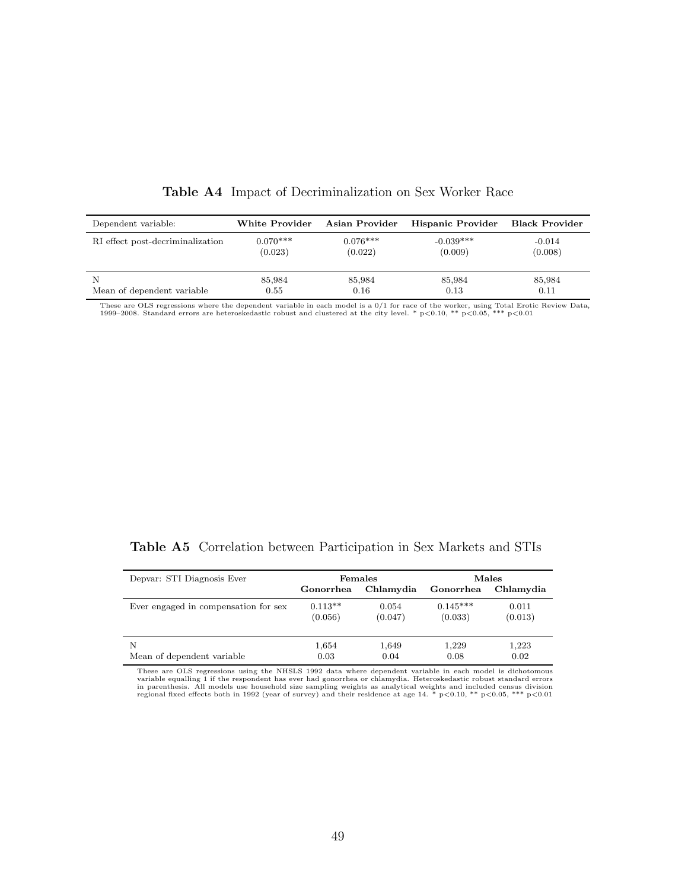| Dependent variable:              | White Provider | Asian Provider | Hispanic Provider | Black Provider |
|----------------------------------|----------------|----------------|-------------------|----------------|
| RI effect post-decriminalization | $0.070***$     | $0.076***$     | $-0.039***$       | $-0.014$       |
|                                  | (0.023)        | (0.022)        | (0.009)           | (0.008)        |
| N                                | 85,984         | 85,984         | 85,984            | 85,984         |
| Mean of dependent variable       | 0.55           | 0.16           | 0.13              | 0.11           |

Table A4 Impact of Decriminalization on Sex Worker Race

These are OLS regressions where the dependent variable in each model is a 0/1 for race of the worker, using Total Erotic Review Data,<br>1999–2008. Standard errors are heteroskedastic robust and clustered at the city level.

|  |  |  | Table A5 Correlation between Participation in Sex Markets and STIs |  |  |  |  |
|--|--|--|--------------------------------------------------------------------|--|--|--|--|
|--|--|--|--------------------------------------------------------------------|--|--|--|--|

| Depvar: STI Diagnosis Ever           |           | Females   | Males      |           |  |
|--------------------------------------|-----------|-----------|------------|-----------|--|
|                                      | Gonorrhea | Chlamydia | Gonorrhea  | Chlamvdia |  |
| Ever engaged in compensation for sex | $0.113**$ | 0.054     | $0.145***$ | 0.011     |  |
|                                      | (0.056)   | (0.047)   | (0.033)    | (0.013)   |  |
| N                                    | 1,654     | 1,649     | 1,229      | 1,223     |  |
| Mean of dependent variable           | 0.03      | 0.04      | 0.08       | 0.02      |  |

These are OLS regressions using the NHSLS 1992 data where dependent variable in each model is dichotomous variable equalling 1 if the respondent has ever had gonorrhea or chlamydia. Heteroskedastic robust standard errors in parenthesis. All models use household size sampling weights as analytical weights and included census division<br>regional fixed effects both in 1992 (year of survey) and their residence at age 14. \* p<0.10, \*\* p<0.05, \*\*\*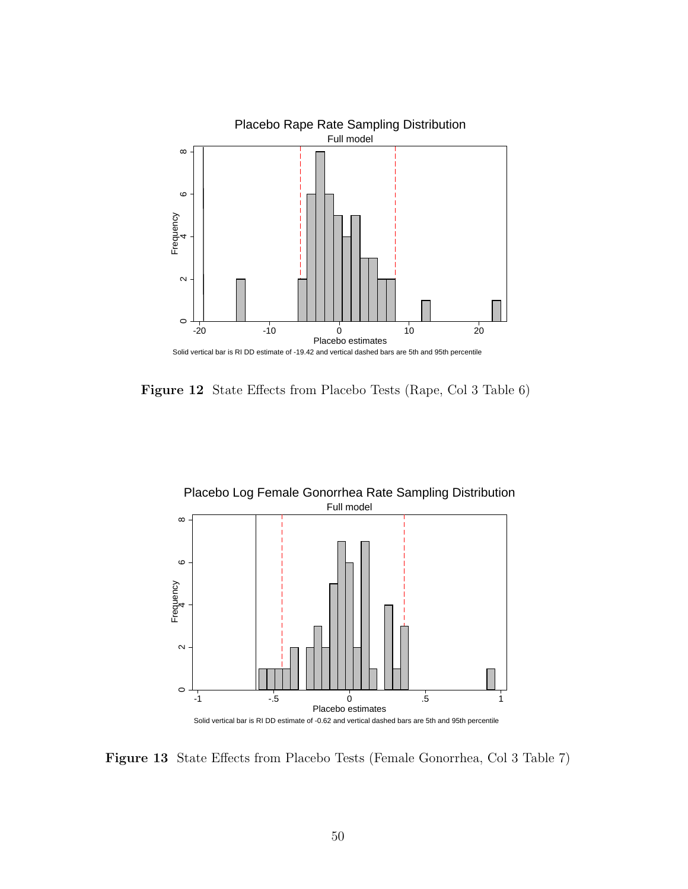

Figure 12 State Effects from Placebo Tests (Rape, Col 3 Table 6)



Figure 13 State Effects from Placebo Tests (Female Gonorrhea, Col 3 Table 7)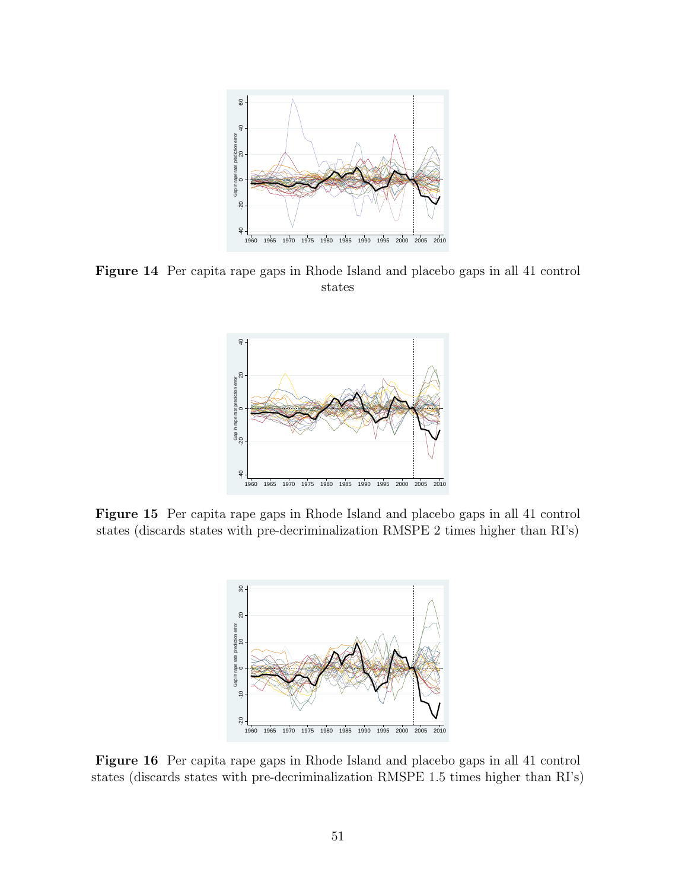

Figure 14 Per capita rape gaps in Rhode Island and placebo gaps in all 41 control states



Figure 15 Per capita rape gaps in Rhode Island and placebo gaps in all 41 control states (discards states with pre-decriminalization RMSPE 2 times higher than RI's)



Figure 16 Per capita rape gaps in Rhode Island and placebo gaps in all 41 control states (discards states with pre-decriminalization RMSPE 1.5 times higher than RI's)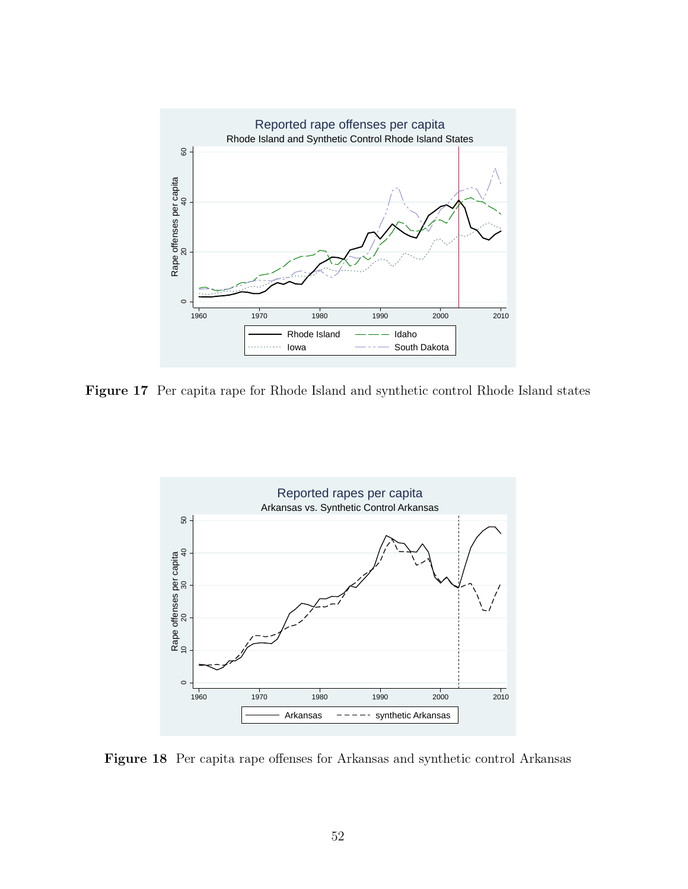

Figure 17 Per capita rape for Rhode Island and synthetic control Rhode Island states



Figure 18 Per capita rape offenses for Arkansas and synthetic control Arkansas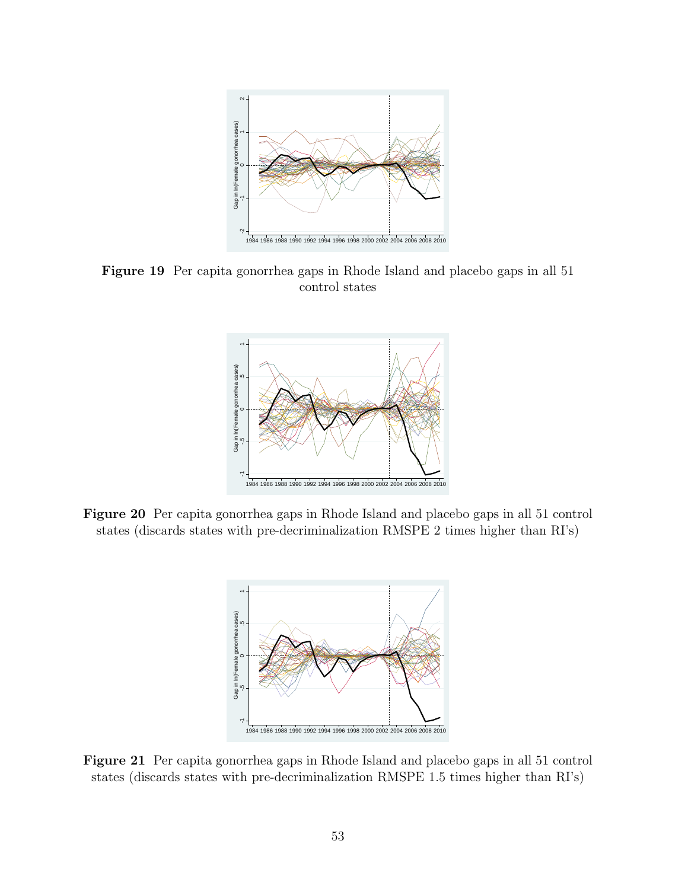

Figure 19 Per capita gonorrhea gaps in Rhode Island and placebo gaps in all 51 control states



Figure 20 Per capita gonorrhea gaps in Rhode Island and placebo gaps in all 51 control states (discards states with pre-decriminalization RMSPE 2 times higher than RI's)



Figure 21 Per capita gonorrhea gaps in Rhode Island and placebo gaps in all 51 control states (discards states with pre-decriminalization RMSPE 1.5 times higher than RI's)